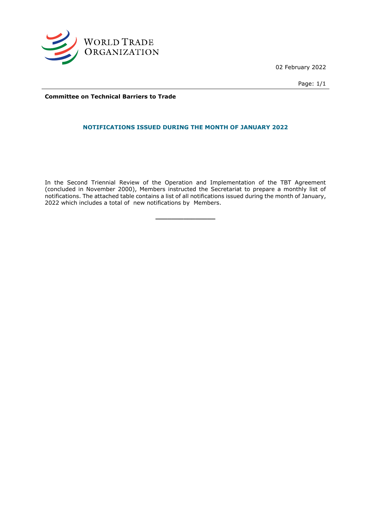

02 February 2022

Page: 1/1

**Committee on Technical Barriers to Trade**

## **NOTIFICATIONS ISSUED DURING THE MONTH OF JANUARY 2022**

In the Second Triennial Review of the Operation and Implementation of the TBT Agreement (concluded in November 2000), Members instructed the Secretariat to prepare a monthly list of notifications. The attached table contains a list of all notifications issued during the month of January, 2022 which includes a total of new notifications by Members.

**\_\_\_\_\_\_\_\_\_\_\_\_\_\_\_**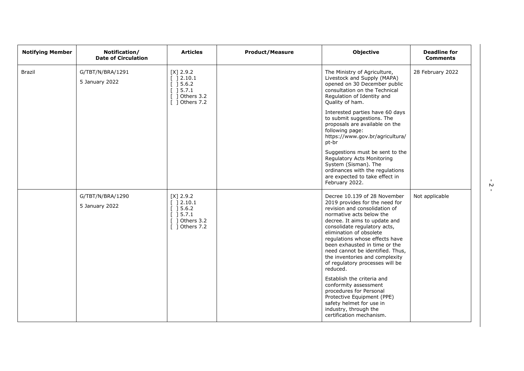| <b>Notifying Member</b> | Notification/<br><b>Date of Circulation</b> | <b>Articles</b>                                                                                                                 | <b>Product/Measure</b> | <b>Objective</b>                                                                                                                                                                                                                                                                                                                                                                                                                                                                                                                                                                                                 | <b>Deadline for</b><br><b>Comments</b> |
|-------------------------|---------------------------------------------|---------------------------------------------------------------------------------------------------------------------------------|------------------------|------------------------------------------------------------------------------------------------------------------------------------------------------------------------------------------------------------------------------------------------------------------------------------------------------------------------------------------------------------------------------------------------------------------------------------------------------------------------------------------------------------------------------------------------------------------------------------------------------------------|----------------------------------------|
| <b>Brazil</b>           | G/TBT/N/BRA/1291<br>5 January 2022          | $[X]$ 2.9.2<br>$\begin{array}{c} \end{array}$ ] 2.10.1<br>[ ] 5.6.2<br>$[$ 15.7.1<br>$\lceil$ 1 Others 3.2<br>$[$ ] Others 7.2  |                        | The Ministry of Agriculture,<br>Livestock and Supply (MAPA)<br>opened on 30 December public<br>consultation on the Technical<br>Regulation of Identity and<br>Quality of ham.<br>Interested parties have 60 days<br>to submit suggestions. The<br>proposals are available on the<br>following page:<br>https://www.gov.br/agricultura/<br>pt-br<br>Suggestions must be sent to the<br>Regulatory Acts Monitoring<br>System (Sisman). The<br>ordinances with the regulations<br>are expected to take effect in<br>February 2022.                                                                                  | 28 February 2022                       |
|                         | G/TBT/N/BRA/1290<br>5 January 2022          | $[X]$ 2.9.2<br>[ ]2.10.1<br>[ ] 5.6.2]<br>$\left[\begin{array}{c}1\end{array}\right]$ 5.7.1<br>1 Others 3.2<br>$[$ ] Others 7.2 |                        | Decree 10.139 of 28 November<br>2019 provides for the need for<br>revision and consolidation of<br>normative acts below the<br>decree. It aims to update and<br>consolidate regulatory acts,<br>elimination of obsolete<br>regulations whose effects have<br>been exhausted in time or the<br>need cannot be identified. Thus,<br>the inventories and complexity<br>of regulatory processes will be<br>reduced.<br>Establish the criteria and<br>conformity assessment<br>procedures for Personal<br>Protective Equipment (PPE)<br>safety helmet for use in<br>industry, through the<br>certification mechanism. | Not applicable                         |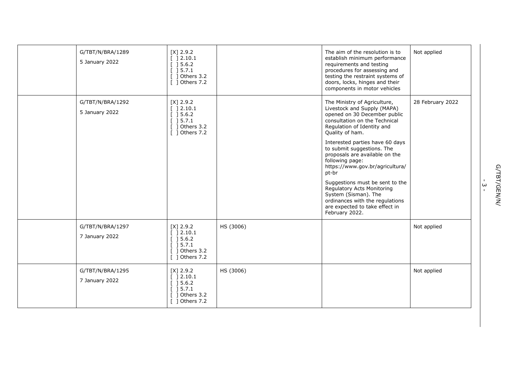| G/TBT/N/BRA/1289<br>5 January 2022 | $[X]$ 2.9.2<br>[ ] 2.10.1<br>[ ] 5.6.2]<br>[ ] 5.7.1<br>$[$ ] Others 3.2<br>$\lceil$ 1 Others 7.2 |           | The aim of the resolution is to<br>establish minimum performance<br>requirements and testing<br>procedures for assessing and<br>testing the restraint systems of<br>doors, locks, hinges and their<br>components in motor vehicles                                                                                                                                                                                                                                                                                              | Not applied      |
|------------------------------------|---------------------------------------------------------------------------------------------------|-----------|---------------------------------------------------------------------------------------------------------------------------------------------------------------------------------------------------------------------------------------------------------------------------------------------------------------------------------------------------------------------------------------------------------------------------------------------------------------------------------------------------------------------------------|------------------|
| G/TBT/N/BRA/1292<br>5 January 2022 | $[X]$ 2.9.2<br>[ ] 2.10.1<br>[ ] 5.6.2]<br>[ ] 5.7.1<br>[ ] Others 3.2<br>$[$ ] Others 7.2        |           | The Ministry of Agriculture,<br>Livestock and Supply (MAPA)<br>opened on 30 December public<br>consultation on the Technical<br>Regulation of Identity and<br>Quality of ham.<br>Interested parties have 60 days<br>to submit suggestions. The<br>proposals are available on the<br>following page:<br>https://www.gov.br/agricultura/<br>pt-br<br>Suggestions must be sent to the<br>Regulatory Acts Monitoring<br>System (Sisman). The<br>ordinances with the regulations<br>are expected to take effect in<br>February 2022. | 28 February 2022 |
| G/TBT/N/BRA/1297<br>7 January 2022 | $[X]$ 2.9.2<br>[ ] 2.10.1<br>[ ] 5.6.2]<br>[ ] 5.7.1<br>$[$ ] Others 3.2<br>$[$ ] Others 7.2      | HS (3006) |                                                                                                                                                                                                                                                                                                                                                                                                                                                                                                                                 | Not applied      |
| G/TBT/N/BRA/1295<br>7 January 2022 | $[X]$ 2.9.2<br>[ ] 2.10.1<br>[ ] 5.6.2]<br>[ ] 5.7.1<br>$[$ ] Others 3.2<br>$[$ ] Others 7.2      | HS (3006) |                                                                                                                                                                                                                                                                                                                                                                                                                                                                                                                                 | Not applied      |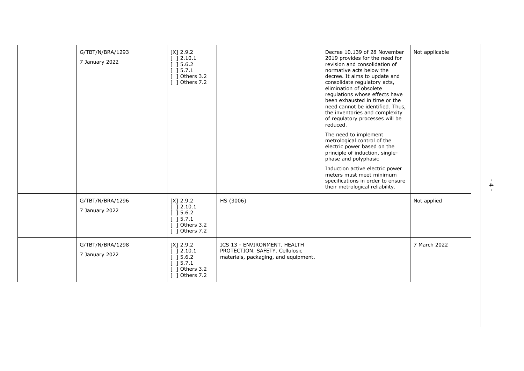| G/TBT/N/BRA/1293<br>7 January 2022 | $[X]$ 2.9.2<br>[ ] 2.10.1<br>$[]$ 15.6.2<br>] 5.7.1<br>Others 3.2<br>$[$ ] Others 7.2                                                                                          |                                                                                                        | Decree 10.139 of 28 November<br>2019 provides for the need for<br>revision and consolidation of<br>normative acts below the<br>decree. It aims to update and<br>consolidate regulatory acts,<br>elimination of obsolete<br>regulations whose effects have<br>been exhausted in time or the<br>need cannot be identified. Thus,<br>the inventories and complexity<br>of regulatory processes will be<br>reduced.<br>The need to implement<br>metrological control of the<br>electric power based on the<br>principle of induction, single-<br>phase and polyphasic<br>Induction active electric power<br>meters must meet minimum<br>specifications in order to ensure<br>their metrological reliability. | Not applicable |
|------------------------------------|--------------------------------------------------------------------------------------------------------------------------------------------------------------------------------|--------------------------------------------------------------------------------------------------------|----------------------------------------------------------------------------------------------------------------------------------------------------------------------------------------------------------------------------------------------------------------------------------------------------------------------------------------------------------------------------------------------------------------------------------------------------------------------------------------------------------------------------------------------------------------------------------------------------------------------------------------------------------------------------------------------------------|----------------|
| G/TBT/N/BRA/1296<br>7 January 2022 | $[X]$ 2.9.2<br>] 2.10.1<br>] 5.6.2<br>] 5.7.1<br>Others 3.2<br>Others 7.2                                                                                                      | HS (3006)                                                                                              |                                                                                                                                                                                                                                                                                                                                                                                                                                                                                                                                                                                                                                                                                                          | Not applied    |
| G/TBT/N/BRA/1298<br>7 January 2022 | $[X]$ 2.9.2<br>$\begin{array}{c} \end{array}$ ] 2.10.1<br>$\left[\begin{array}{c}$ 15.6.2<br>$\begin{bmatrix} 1 & 5 & 7 & 1 \end{bmatrix}$<br>] Others 3.2<br>$[$ ] Others 7.2 | ICS 13 - ENVIRONMENT. HEALTH<br>PROTECTION. SAFETY. Cellulosic<br>materials, packaging, and equipment. |                                                                                                                                                                                                                                                                                                                                                                                                                                                                                                                                                                                                                                                                                                          | 7 March 2022   |

- 4 -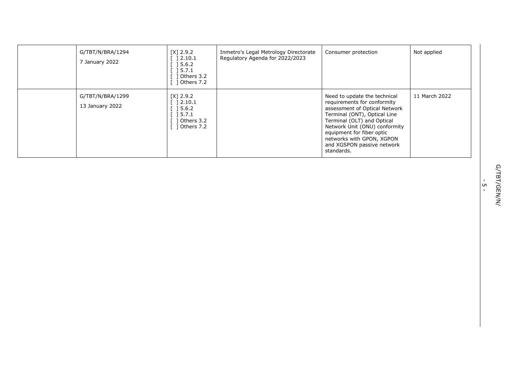| G/TBT/N/BRA/1294<br>January 2022    | [X] 2.9.2<br>] 2.10.1<br>$\begin{array}{c} \text{ }5.6.2 \end{array}$<br>] 5.7.1<br>Others 3.2<br>Others 7.2 | Inmetro's Legal Metrology Directorate<br>Regulatory Agenda for 2022/2023 | Consumer protection                                                                                                                                                                                                                                                                               | Not applied   |
|-------------------------------------|--------------------------------------------------------------------------------------------------------------|--------------------------------------------------------------------------|---------------------------------------------------------------------------------------------------------------------------------------------------------------------------------------------------------------------------------------------------------------------------------------------------|---------------|
| G/TBT/N/BRA/1299<br>13 January 2022 | $[X]$ 2.9.2<br>] 2.10.1<br>] 5.6.2<br>] 5.7.1<br>dthers 3.2<br>1 Others 7.2                                  |                                                                          | Need to update the technical<br>requirements for conformity<br>assessment of Optical Network<br>Terminal (ONT), Optical Line<br>Terminal (OLT) and Optical<br>Network Unit (ONU) conformity<br>equipment for fiber optic<br>networks with GPON, XGPON<br>and XGSPON passive network<br>standards. | 11 March 2022 |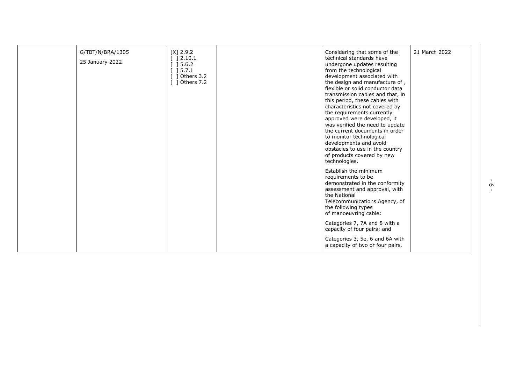| G/TBT/N/BRA/1305<br>25 January 2022 | $[X]$ 2.9.2<br>$\begin{array}{c} \end{array}$ ] 2.10.1<br>$[]$ 15.6.2<br>$[$ 15.7.1<br>$[$ ] Others 3.2<br>$[$ ] Others 7.2 | Considering that some of the<br>technical standards have<br>undergone updates resulting<br>from the technological<br>development associated with<br>the design and manufacture of,<br>flexible or solid conductor data<br>transmission cables and that, in<br>this period, these cables with             | 21 March 2022 |
|-------------------------------------|-----------------------------------------------------------------------------------------------------------------------------|----------------------------------------------------------------------------------------------------------------------------------------------------------------------------------------------------------------------------------------------------------------------------------------------------------|---------------|
|                                     |                                                                                                                             | characteristics not covered by<br>the requirements currently<br>approved were developed, it<br>was verified the need to update<br>the current documents in order<br>to monitor technological<br>developments and avoid<br>obstacles to use in the country<br>of products covered by new<br>technologies. |               |
|                                     |                                                                                                                             | Establish the minimum<br>requirements to be<br>demonstrated in the conformity<br>assessment and approval, with<br>the National<br>Telecommunications Agency, of<br>the following types<br>of manoeuvring cable:                                                                                          |               |
|                                     |                                                                                                                             | Categories 7, 7A and 8 with a<br>capacity of four pairs; and<br>Categories 3, 5e, 6 and 6A with<br>a capacity of two or four pairs.                                                                                                                                                                      |               |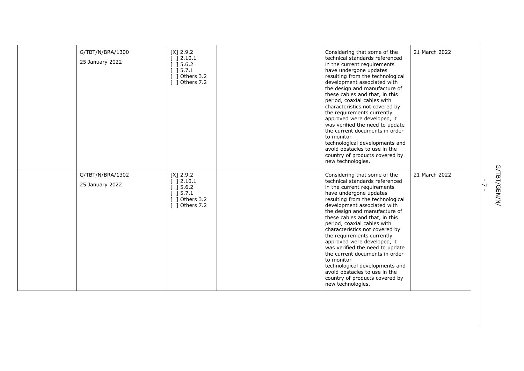| G/TBT/N/BRA/1300<br>25 January 2022 | $[X]$ 2.9.2<br>$[$ 1 2.10.1<br>$\lceil$ 15.6.2<br>[ ] 5.7.1<br>$[$ ] Others 3.2<br>[ ] Others 7.2 | Considering that some of the<br>technical standards referenced<br>in the current requirements<br>have undergone updates<br>resulting from the technological<br>development associated with<br>the design and manufacture of<br>these cables and that, in this<br>period, coaxial cables with<br>characteristics not covered by<br>the requirements currently<br>approved were developed, it<br>was verified the need to update<br>the current documents in order<br>to monitor<br>technological developments and<br>avoid obstacles to use in the<br>country of products covered by<br>new technologies. | 21 March 2022 |
|-------------------------------------|---------------------------------------------------------------------------------------------------|----------------------------------------------------------------------------------------------------------------------------------------------------------------------------------------------------------------------------------------------------------------------------------------------------------------------------------------------------------------------------------------------------------------------------------------------------------------------------------------------------------------------------------------------------------------------------------------------------------|---------------|
| G/TBT/N/BRA/1302<br>25 January 2022 | $[X]$ 2.9.2<br>] 2.10.1<br>] 5.6.2<br>] 5.7.1<br>$\lceil$ 1 Others 3.2<br>[ ] Others 7.2          | Considering that some of the<br>technical standards referenced<br>in the current requirements<br>have undergone updates<br>resulting from the technological<br>development associated with<br>the design and manufacture of<br>these cables and that, in this<br>period, coaxial cables with<br>characteristics not covered by<br>the requirements currently<br>approved were developed, it<br>was verified the need to update<br>the current documents in order<br>to monitor<br>technological developments and<br>avoid obstacles to use in the<br>country of products covered by<br>new technologies. | 21 March 2022 |

G/TBT/GEN/N/ - 7 -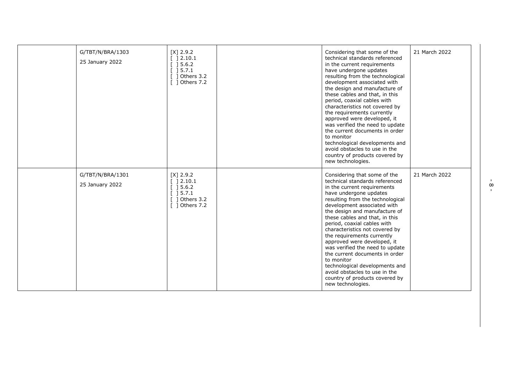| G/TBT/N/BRA/1303<br>25 January 2022 | $[X]$ 2.9.2<br>$[$ ] 2.10.1<br>$\begin{array}{c} \begin{array}{c} \end{array} \end{array}$<br>] 5.7.1<br>1 Others 3.2<br>[ ] Others 7.2 | Considering that some of the<br>technical standards referenced<br>in the current requirements<br>have undergone updates<br>resulting from the technological<br>development associated with<br>the design and manufacture of<br>these cables and that, in this<br>period, coaxial cables with<br>characteristics not covered by<br>the requirements currently<br>approved were developed, it<br>was verified the need to update<br>the current documents in order<br>to monitor<br>technological developments and<br>avoid obstacles to use in the<br>country of products covered by<br>new technologies. | 21 March 2022 |
|-------------------------------------|-----------------------------------------------------------------------------------------------------------------------------------------|----------------------------------------------------------------------------------------------------------------------------------------------------------------------------------------------------------------------------------------------------------------------------------------------------------------------------------------------------------------------------------------------------------------------------------------------------------------------------------------------------------------------------------------------------------------------------------------------------------|---------------|
| G/TBT/N/BRA/1301<br>25 January 2022 | $[X]$ 2.9.2<br>[ ] 2.10.1<br>$[$ 15.6.2<br>15.7.1<br>1 Others 3.2<br>[ ] Others 7.2                                                     | Considering that some of the<br>technical standards referenced<br>in the current requirements<br>have undergone updates<br>resulting from the technological<br>development associated with<br>the design and manufacture of<br>these cables and that, in this<br>period, coaxial cables with<br>characteristics not covered by<br>the requirements currently<br>approved were developed, it<br>was verified the need to update<br>the current documents in order<br>to monitor<br>technological developments and<br>avoid obstacles to use in the<br>country of products covered by<br>new technologies. | 21 March 2022 |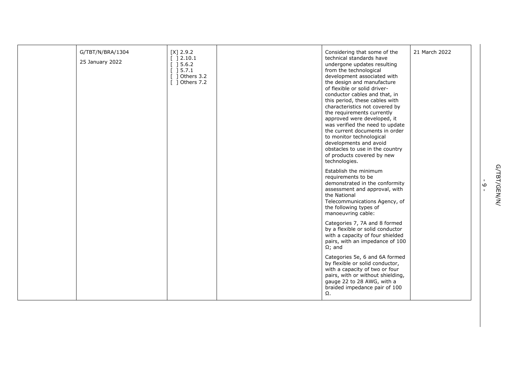| G/TBT/N/BRA/1304<br>25 January 2022 | $[X]$ 2.9.2<br>$[ \begin{array}{array}{array} \end{array} ] 2.10.1$<br>$[] 5.6.2$<br>$\begin{array}{c} \boxed{1} \\ \boxed{5.7.1} \end{array}$<br>$[$ ] Others 3.2<br>$\lceil$ 1 Others 7.2 | Considering that some of the<br>technical standards have<br>undergone updates resulting<br>from the technological<br>development associated with<br>the design and manufacture<br>of flexible or solid driver-<br>conductor cables and that, in<br>this period, these cables with<br>characteristics not covered by<br>the requirements currently<br>approved were developed, it<br>was verified the need to update<br>the current documents in order<br>to monitor technological<br>developments and avoid<br>obstacles to use in the country<br>of products covered by new<br>technologies.<br>Establish the minimum<br>requirements to be | 21 March 2022 |
|-------------------------------------|---------------------------------------------------------------------------------------------------------------------------------------------------------------------------------------------|----------------------------------------------------------------------------------------------------------------------------------------------------------------------------------------------------------------------------------------------------------------------------------------------------------------------------------------------------------------------------------------------------------------------------------------------------------------------------------------------------------------------------------------------------------------------------------------------------------------------------------------------|---------------|
|                                     |                                                                                                                                                                                             | demonstrated in the conformity<br>assessment and approval, with<br>the National<br>Telecommunications Agency, of<br>the following types of<br>manoeuvring cable:                                                                                                                                                                                                                                                                                                                                                                                                                                                                             |               |
|                                     |                                                                                                                                                                                             | Categories 7, 7A and 8 formed<br>by a flexible or solid conductor<br>with a capacity of four shielded<br>pairs, with an impedance of 100<br>$\Omega$ ; and                                                                                                                                                                                                                                                                                                                                                                                                                                                                                   |               |
|                                     |                                                                                                                                                                                             | Categories 5e, 6 and 6A formed<br>by flexible or solid conductor,<br>with a capacity of two or four<br>pairs, with or without shielding,<br>gauge 22 to 28 AWG, with a<br>braided impedance pair of 100<br>$\Omega$ .                                                                                                                                                                                                                                                                                                                                                                                                                        |               |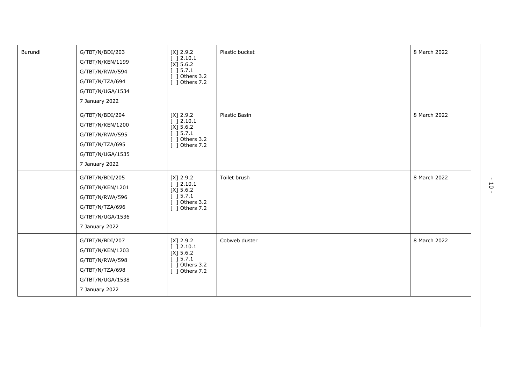| Burundi | G/TBT/N/BDI/203<br>G/TBT/N/KEN/1199<br>G/TBT/N/RWA/594<br>G/TBT/N/TZA/694<br>G/TBT/N/UGA/1534<br>7 January 2022 | $[X]$ 2.9.2<br>[ ] 2.10.1<br>$[X]$ 5.6.2<br>$[$ ] 5.7.1<br>[ ] Others 3.2<br>[ ] Others 7.2        | Plastic bucket | 8 March 2022 |
|---------|-----------------------------------------------------------------------------------------------------------------|----------------------------------------------------------------------------------------------------|----------------|--------------|
|         | G/TBT/N/BDI/204<br>G/TBT/N/KEN/1200<br>G/TBT/N/RWA/595<br>G/TBT/N/TZA/695<br>G/TBT/N/UGA/1535<br>7 January 2022 | $[X]$ 2.9.2<br>[ ] 2.10.1<br>$[X]$ 5.6.2<br>$[$ ] 5.7.1<br>$[$ ] Others 3.2 $\,$<br>[ ] Others 7.2 | Plastic Basin  | 8 March 2022 |
|         | G/TBT/N/BDI/205<br>G/TBT/N/KEN/1201<br>G/TBT/N/RWA/596<br>G/TBT/N/TZA/696<br>G/TBT/N/UGA/1536<br>7 January 2022 | $[X]$ 2.9.2<br>[ ]2.10.1<br>$[X]$ 5.6.2<br>[ ] 5.7.1<br>$[$ ] Others 3.2<br>[ ] Others 7.2         | Toilet brush   | 8 March 2022 |
|         | G/TBT/N/BDI/207<br>G/TBT/N/KEN/1203<br>G/TBT/N/RWA/598<br>G/TBT/N/TZA/698<br>G/TBT/N/UGA/1538<br>7 January 2022 | $[X]$ 2.9.2<br>[ ] 2.10.1<br>$[X]$ 5.6.2<br>$[$ ] 5.7.1<br>$[$ ] Others 3.2<br>[ ] Others 7.2      | Cobweb duster  | 8 March 2022 |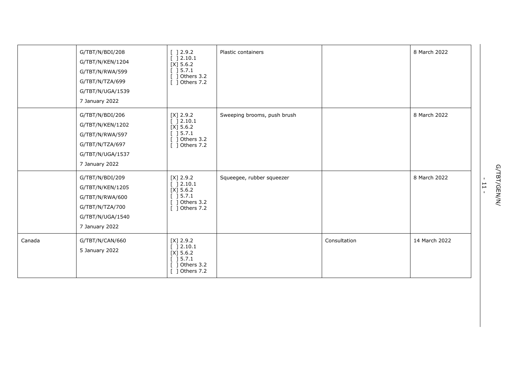|        | G/TBT/N/BDI/208<br>G/TBT/N/KEN/1204<br>G/TBT/N/RWA/599<br>G/TBT/N/TZA/699<br>G/TBT/N/UGA/1539<br>7 January 2022 | [ ] 2.9.2<br>[ ] 2.10.1<br>$[X]$ 5.6.2<br>[ ] 5.7.1<br>$[$ ] Others 3.2<br>[ ] Others 7.2     | Plastic containers          |              | 8 March 2022  |
|--------|-----------------------------------------------------------------------------------------------------------------|-----------------------------------------------------------------------------------------------|-----------------------------|--------------|---------------|
|        | G/TBT/N/BDI/206<br>G/TBT/N/KEN/1202<br>G/TBT/N/RWA/597<br>G/TBT/N/TZA/697<br>G/TBT/N/UGA/1537<br>7 January 2022 | $[X]$ 2.9.2<br>[ ] 2.10.1<br>$[X]$ 5.6.2<br>[ ] 5.7.1<br>$[$ ] Others 3.2<br>[ ] Others 7.2   | Sweeping brooms, push brush |              | 8 March 2022  |
|        | G/TBT/N/BDI/209<br>G/TBT/N/KEN/1205<br>G/TBT/N/RWA/600<br>G/TBT/N/TZA/700<br>G/TBT/N/UGA/1540<br>7 January 2022 | $[X]$ 2.9.2<br>[ ] 2.10.1<br>$[X]$ 5.6.2<br>[ ] 5.7.1<br>$[$ ] Others 3.2<br>[ ] Others 7.2   | Squeegee, rubber squeezer   |              | 8 March 2022  |
| Canada | G/TBT/N/CAN/660<br>5 January 2022                                                                               | $[X]$ 2.9.2<br>[ ] 2.10.1<br>$[X]$ 5.6.2<br>$[$ ] 5.7.1<br>$[$ ] Others 3.2<br>[ ] Others 7.2 |                             | Consultation | 14 March 2022 |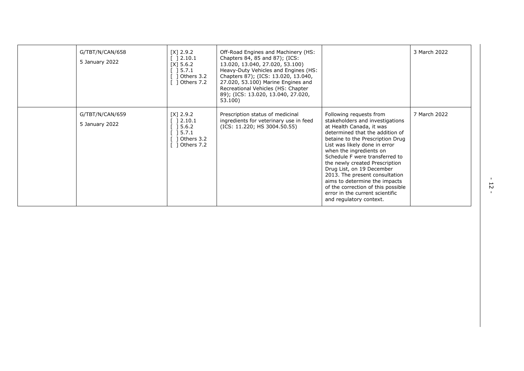| G/TBT/N/CAN/658<br>5 January 2022 | $[X]$ 2.9.2<br>$\lceil$ 12.10.1<br>$[X]$ 5.6.2<br>] 5.7.1<br>] Others 3.2<br>$\lceil$ 1 Others 7.2 | Off-Road Engines and Machinery (HS:<br>Chapters 84, 85 and 87); (ICS:<br>13.020, 13.040, 27.020, 53.100)<br>Heavy-Duty Vehicles and Engines (HS:<br>Chapters 87); (ICS: 13.020, 13.040,<br>27.020, 53.100) Marine Engines and<br>Recreational Vehicles (HS: Chapter<br>89); (ICS: 13.020, 13.040, 27.020,<br>53.100) |                                                                                                                                                                                                                                                                                                                                                                                                                                                                                                   | 3 March 2022 |
|-----------------------------------|----------------------------------------------------------------------------------------------------|----------------------------------------------------------------------------------------------------------------------------------------------------------------------------------------------------------------------------------------------------------------------------------------------------------------------|---------------------------------------------------------------------------------------------------------------------------------------------------------------------------------------------------------------------------------------------------------------------------------------------------------------------------------------------------------------------------------------------------------------------------------------------------------------------------------------------------|--------------|
| G/TBT/N/CAN/659<br>5 January 2022 | $[X]$ 2.9.2<br>$\lceil$ 12.10.1<br>] 5.6.2<br>] 5.7.1<br>1 Others 3.2<br>1 Others 7.2              | Prescription status of medicinal<br>ingredients for veterinary use in feed<br>(ICS: 11.220; HS 3004.50.55)                                                                                                                                                                                                           | Following requests from<br>stakeholders and investigations<br>at Health Canada, it was<br>determined that the addition of<br>betaine to the Prescription Drug<br>List was likely done in error<br>when the ingredients on<br>Schedule F were transferred to<br>the newly created Prescription<br>Drug List, on 19 December<br>2013. The present consultation<br>aims to determine the impacts<br>of the correction of this possible<br>error in the current scientific<br>and regulatory context. | 7 March 2022 |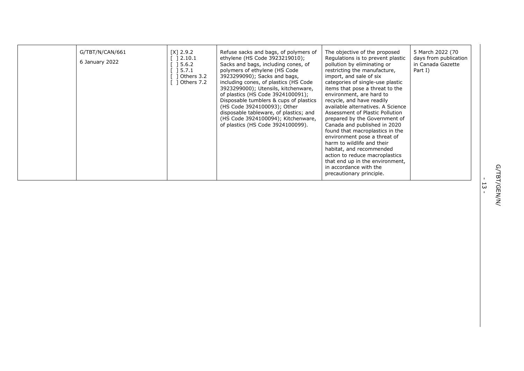| G/TBT/N/CAN/661<br>6 January 2022 | $[X]$ 2.9.2<br>2.10.1<br>5.6.2<br>5.7.1<br>Others 3.2<br>1 Others 7.2 | Refuse sacks and bags, of polymers of<br>ethylene (HS Code 3923219010);<br>Sacks and bags, including cones, of<br>polymers of ethylene (HS Code<br>3923299090); Sacks and bags,<br>including cones, of plastics (HS Code<br>3923299000); Utensils, kitchenware,<br>of plastics (HS Code 3924100091);<br>Disposable tumblers & cups of plastics<br>(HS Code 3924100093); Other<br>disposable tableware, of plastics; and<br>(HS Code 3924100094); Kitchenware,<br>of plastics (HS Code 3924100099). | The objective of the proposed<br>Regulations is to prevent plastic<br>pollution by eliminating or<br>restricting the manufacture,<br>import, and sale of six<br>categories of single-use plastic<br>items that pose a threat to the<br>environment, are hard to<br>recycle, and have readily<br>available alternatives. A Science<br>Assessment of Plastic Pollution<br>prepared by the Government of<br>Canada and published in 2020<br>found that macroplastics in the<br>environment pose a threat of<br>harm to wildlife and their<br>habitat, and recommended<br>action to reduce macroplastics<br>that end up in the environment,<br>in accordance with the<br>precautionary principle. | 5 March 2022 (70<br>days from publication<br>in Canada Gazette<br>Part I) |
|-----------------------------------|-----------------------------------------------------------------------|----------------------------------------------------------------------------------------------------------------------------------------------------------------------------------------------------------------------------------------------------------------------------------------------------------------------------------------------------------------------------------------------------------------------------------------------------------------------------------------------------|-----------------------------------------------------------------------------------------------------------------------------------------------------------------------------------------------------------------------------------------------------------------------------------------------------------------------------------------------------------------------------------------------------------------------------------------------------------------------------------------------------------------------------------------------------------------------------------------------------------------------------------------------------------------------------------------------|---------------------------------------------------------------------------|
|-----------------------------------|-----------------------------------------------------------------------|----------------------------------------------------------------------------------------------------------------------------------------------------------------------------------------------------------------------------------------------------------------------------------------------------------------------------------------------------------------------------------------------------------------------------------------------------------------------------------------------------|-----------------------------------------------------------------------------------------------------------------------------------------------------------------------------------------------------------------------------------------------------------------------------------------------------------------------------------------------------------------------------------------------------------------------------------------------------------------------------------------------------------------------------------------------------------------------------------------------------------------------------------------------------------------------------------------------|---------------------------------------------------------------------------|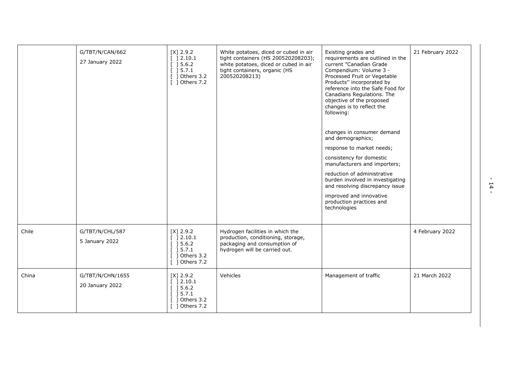|       | G/TBT/N/CAN/662<br>27 January 2022  | $[X]$ 2.9.2<br>[ ] 2.10.1<br>[ ] 5.6.2]<br>[ ] 5.7.1<br>] Others 3.2<br>$\lceil$ 1 Others 7.2 | White potatoes, diced or cubed in air<br>tight containers (HS 200520208203);<br>white potatoes, diced or cubed in air<br>tight containers, organic (HS<br>200520208213) | Existing grades and<br>requirements are outlined in the<br>current "Canadian Grade<br>Compendium: Volume 3 -<br>Processed Fruit or Vegetable<br>Products" incorporated by<br>reference into the Safe Food for<br>Canadians Regulations. The<br>objective of the proposed<br>changes is to reflect the<br>following:<br>changes in consumer demand<br>and demographics;<br>response to market needs;<br>consistency for domestic<br>manufacturers and importers;<br>reduction of administrative<br>burden involved in investigating<br>and resolving discrepancy issue<br>improved and innovative<br>production practices and<br>technologies | 21 February 2022 |
|-------|-------------------------------------|-----------------------------------------------------------------------------------------------|-------------------------------------------------------------------------------------------------------------------------------------------------------------------------|----------------------------------------------------------------------------------------------------------------------------------------------------------------------------------------------------------------------------------------------------------------------------------------------------------------------------------------------------------------------------------------------------------------------------------------------------------------------------------------------------------------------------------------------------------------------------------------------------------------------------------------------|------------------|
| Chile | G/TBT/N/CHL/587<br>5 January 2022   | $[X]$ 2.9.2<br>[ ] 2.10.1<br>[ ] 5.6.2]<br>[ ] 5.7.1<br>Others 3.2<br>[ ] Others 7.2          | Hydrogen facilities in which the<br>production, conditioning, storage,<br>packaging and consumption of<br>hydrogen will be carried out.                                 |                                                                                                                                                                                                                                                                                                                                                                                                                                                                                                                                                                                                                                              | 4 February 2022  |
| China | G/TBT/N/CHN/1655<br>20 January 2022 | $[X]$ 2.9.2<br>[ ] 2.10.1<br>[ ] 5.6.2]<br>[ ] 5.7.1<br>1 Others 3.2<br>$[$ ] Others 7.2      | Vehicles                                                                                                                                                                | Management of traffic                                                                                                                                                                                                                                                                                                                                                                                                                                                                                                                                                                                                                        | 21 March 2022    |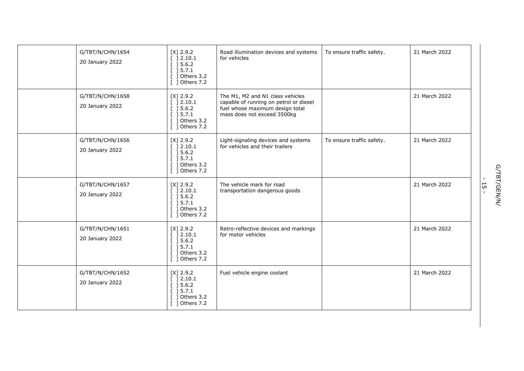| G/TBT/N/CHN/1654<br>20 January 2022 | $[X]$ 2.9.2<br>[ ] 2.10.1<br>[ ] 5.6.2]<br>[ ] 5.7.1<br>$[$ ] Others 3.2<br>$\lceil$ 1 Others 7.2      | Road illumination devices and systems<br>for vehicles                                                                                        | To ensure traffic safety. | 21 March 2022 |
|-------------------------------------|--------------------------------------------------------------------------------------------------------|----------------------------------------------------------------------------------------------------------------------------------------------|---------------------------|---------------|
| G/TBT/N/CHN/1658<br>20 January 2022 | $[X]$ 2.9.2<br>[ ] 2.10.1<br>[ ] 5.6.2]<br>[ ] 5.7.1<br>$[$ ] Others 3.2<br>[ ] Others 7.2             | The M1, M2 and N1 class vehicles<br>capable of running on petrol or diesel<br>fuel whose maximum design total<br>mass does not exceed 3500kg |                           | 21 March 2022 |
| G/TBT/N/CHN/1656<br>20 January 2022 | $[X]$ 2.9.2<br>[ ] 2.10.1<br>[ ] 5.6.2]<br>[ ] 5.7.1<br>$[$ ] Others 3.2<br>$\lceil$ 1 Others 7.2      | Light-signaling devices and systems<br>for vehicles and their trailers                                                                       | To ensure traffic safety. | 21 March 2022 |
| G/TBT/N/CHN/1657<br>20 January 2022 | $[X]$ 2.9.2<br>[ ] 2.10.1<br>[ ] 5.6.2]<br>[ ] 5.7.1<br>$\lceil$ 1 Others 3.2<br>$\lceil$ 1 Others 7.2 | The vehicle mark for road<br>transportation dangerous goods                                                                                  |                           | 21 March 2022 |
| G/TBT/N/CHN/1651<br>20 January 2022 | $[X]$ 2.9.2<br>$[$ 12.10.1<br>[ ] 5.6.2]<br>] 5.7.1<br>1 Others 3.2<br>$[$ ] Others 7.2                | Retro-reflective devices and markings<br>for motor vehicles                                                                                  |                           | 21 March 2022 |
| G/TBT/N/CHN/1652<br>20 January 2022 | $[X]$ 2.9.2<br>[ ] 2.10.1<br>[ ] 5.6.2]<br>[ ] 5.7.1<br>Others 3.2<br>$\overline{1}$ 0thers 7.2        | Fuel vehicle engine coolant                                                                                                                  |                           | 21 March 2022 |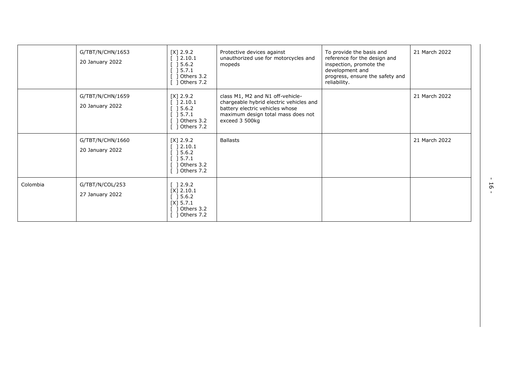|          | G/TBT/N/CHN/1653<br>20 January 2022 | [X] 2.9.2<br>] 2.10.1<br>] 5.6.2<br>] 5.7.1<br>1 Others 3.2<br>1 Others 7.2                                                                           | Protective devices against<br>unauthorized use for motorcycles and<br>mopeds                                                                                           | To provide the basis and<br>reference for the design and<br>inspection, promote the<br>development and<br>progress, ensure the safety and<br>reliability. | 21 March 2022 |
|----------|-------------------------------------|-------------------------------------------------------------------------------------------------------------------------------------------------------|------------------------------------------------------------------------------------------------------------------------------------------------------------------------|-----------------------------------------------------------------------------------------------------------------------------------------------------------|---------------|
|          | G/TBT/N/CHN/1659<br>20 January 2022 | $[X]$ 2.9.2<br>$\lceil$ 12.10.1<br>] 5.6.2<br>$\begin{bmatrix} 1 & 5 & .7 & .1 \end{bmatrix}$<br>] Others 3.2<br>] Others 7.2                         | class M1, M2 and N1 off-vehicle-<br>chargeable hybrid electric vehicles and<br>battery electric vehicles whose<br>maximum design total mass does not<br>exceed 3 500kg |                                                                                                                                                           | 21 March 2022 |
|          | G/TBT/N/CHN/1660<br>20 January 2022 | $[X]$ 2.9.2<br>] 2.10.1<br>$\begin{array}{c} \end{array} \begin{array}{c} \text{5.6.2} \end{array}$<br>$\sqrt{5.7.1}$<br>] Others 3.2<br>] Others 7.2 | <b>Ballasts</b>                                                                                                                                                        |                                                                                                                                                           | 21 March 2022 |
| Colombia | G/TBT/N/COL/253<br>27 January 2022  | $[] 2.9.2$<br>$[X]$ 2.10.1<br>$[]$ 5.6.2<br>$[X]$ 5.7.1<br>1 Others 3.2<br>] Others 7.2                                                               |                                                                                                                                                                        |                                                                                                                                                           |               |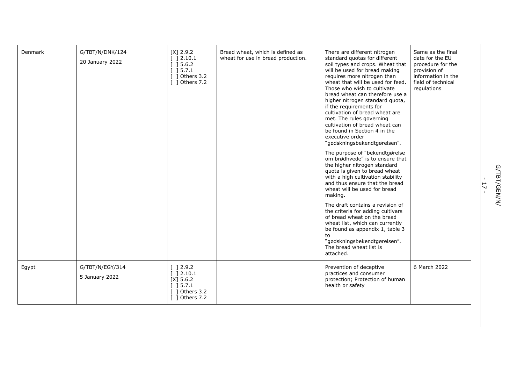| Denmark | G/TBT/N/DNK/124<br>20 January 2022 | $[X]$ 2.9.2<br>[ ] 2.10.1<br>$[$ 15.6.2<br>[ ] 5.7.1<br>] Others 3.2<br>[ ] Others 7.2       | Bread wheat, which is defined as<br>wheat for use in bread production. | There are different nitrogen<br>standard quotas for different<br>soil types and crops. Wheat that<br>will be used for bread making<br>requires more nitrogen than<br>wheat that will be used for feed.<br>Those who wish to cultivate<br>bread wheat can therefore use a<br>higher nitrogen standard quota,<br>if the requirements for<br>cultivation of bread wheat are<br>met. The rules governing<br>cultivation of bread wheat can<br>be found in Section 4 in the<br>executive order<br>"gødskningsbekendtgørelsen".<br>The purpose of "bekendtgørelse<br>om brødhvede" is to ensure that<br>the higher nitrogen standard<br>quota is given to bread wheat<br>with a high cultivation stability<br>and thus ensure that the bread<br>wheat will be used for bread<br>making.<br>The draft contains a revision of<br>the criteria for adding cultivars<br>of bread wheat on the bread<br>wheat list, which can currently<br>be found as appendix 1, table 3<br>to<br>"gødskningsbekendtgørelsen".<br>The bread wheat list is<br>attached. | Same as the final<br>date for the EU<br>procedure for the<br>provision of<br>information in the<br>field of technical<br>regulations |
|---------|------------------------------------|----------------------------------------------------------------------------------------------|------------------------------------------------------------------------|-----------------------------------------------------------------------------------------------------------------------------------------------------------------------------------------------------------------------------------------------------------------------------------------------------------------------------------------------------------------------------------------------------------------------------------------------------------------------------------------------------------------------------------------------------------------------------------------------------------------------------------------------------------------------------------------------------------------------------------------------------------------------------------------------------------------------------------------------------------------------------------------------------------------------------------------------------------------------------------------------------------------------------------------------|--------------------------------------------------------------------------------------------------------------------------------------|
| Egypt   | G/TBT/N/EGY/314<br>5 January 2022  | [ ] 2.9.2<br>[ ] 2.10.1<br>$[X]$ 5.6.2<br>[ ] 5.7.1<br>1 Others 3.2<br>$\lceil$ 1 Others 7.2 |                                                                        | Prevention of deceptive<br>practices and consumer<br>protection; Protection of human<br>health or safety                                                                                                                                                                                                                                                                                                                                                                                                                                                                                                                                                                                                                                                                                                                                                                                                                                                                                                                                      | 6 March 2022                                                                                                                         |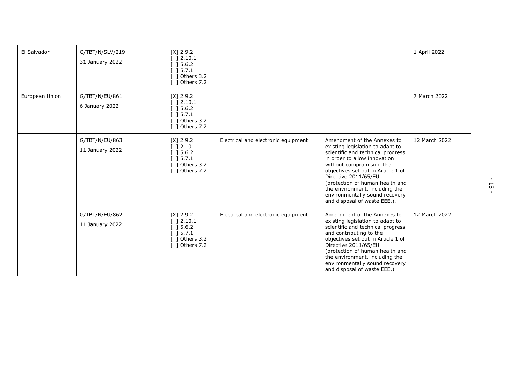| El Salvador    | G/TBT/N/SLV/219<br>31 January 2022 | $[X]$ 2.9.2<br>2.10.1<br>] 5.6.2<br>] 5.7.1<br>Others 3.2<br>Others 7.2                                             |                                     |                                                                                                                                                                                                                                                                                                                                                                       | 1 April 2022  |
|----------------|------------------------------------|---------------------------------------------------------------------------------------------------------------------|-------------------------------------|-----------------------------------------------------------------------------------------------------------------------------------------------------------------------------------------------------------------------------------------------------------------------------------------------------------------------------------------------------------------------|---------------|
| European Union | G/TBT/N/EU/861<br>6 January 2022   | $[X]$ 2.9.2<br>[ ] 2.10.1<br>$[$ 15.6.2<br>[ ] 5.7.1<br>$[$ ] Others 3.2<br>[ ] Others 7.2                          |                                     |                                                                                                                                                                                                                                                                                                                                                                       | 7 March 2022  |
|                | G/TBT/N/EU/863<br>11 January 2022  | $[X]$ 2.9.2<br>[ ] 2.10.1<br>] 5.6.2<br>$\begin{array}{c} \end{array}$ ] 5.7.1<br>] Others 3.2<br>[ ] Others 7.2    | Electrical and electronic equipment | Amendment of the Annexes to<br>existing legislation to adapt to<br>scientific and technical progress<br>in order to allow innovation<br>without compromising the<br>objectives set out in Article 1 of<br>Directive 2011/65/EU<br>(protection of human health and<br>the environment, including the<br>environmentally sound recovery<br>and disposal of waste EEE.). | 12 March 2022 |
|                | G/TBT/N/EU/862<br>11 January 2022  | $[X]$ 2.9.2<br>$\begin{array}{c} \end{array}$ ] 2.10.1<br>] 5.6.2<br>] 5.7.1<br>Others 3.2<br>$\lceil$ 1 Others 7.2 | Electrical and electronic equipment | Amendment of the Annexes to<br>existing legislation to adapt to<br>scientific and technical progress<br>and contributing to the<br>objectives set out in Article 1 of<br>Directive 2011/65/EU<br>(protection of human health and<br>the environment, including the<br>environmentally sound recovery<br>and disposal of waste EEE.)                                   | 12 March 2022 |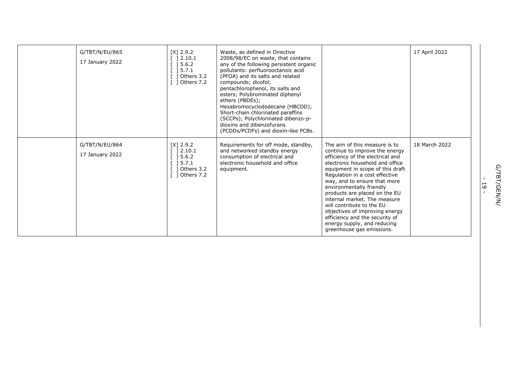| G/TBT/N/EU/865<br>17 January 2022 | $[X]$ 2.9.2<br>] 2.10.1<br>] 5.6.2<br>$\sqrt{5.7.1}$<br>] Others 3.2<br>] Others 7.2 | Waste, as defined in Directive<br>2008/98/EC on waste, that contains<br>any of the following persistent organic<br>pollutants: perfluorooctanoic acid<br>(PFOA) and its salts and related<br>compounds; dicofol;<br>pentachlorophenol, its salts and<br>esters; Polybrominated diphenyl<br>ethers (PBDEs);<br>Hexabromocyclododecane (HBCDD);<br>Short-chain chlorinated paraffins<br>(SCCPs); Polychlorinated dibenzo-p-<br>dioxins and dibenzofurans<br>(PCDDs/PCDFs) and dioxin-like PCBs. |                                                                                                                                                                                                                                                                                                                                                                                                                                                                                                        | 17 April 2022 |
|-----------------------------------|--------------------------------------------------------------------------------------|-----------------------------------------------------------------------------------------------------------------------------------------------------------------------------------------------------------------------------------------------------------------------------------------------------------------------------------------------------------------------------------------------------------------------------------------------------------------------------------------------|--------------------------------------------------------------------------------------------------------------------------------------------------------------------------------------------------------------------------------------------------------------------------------------------------------------------------------------------------------------------------------------------------------------------------------------------------------------------------------------------------------|---------------|
| G/TBT/N/EU/864<br>17 January 2022 | $[X]$ 2.9.2<br>] 2.10.1<br>5.6.2<br>15.7.1<br>1 Others 3.2<br>] Others 7.2           | Requirements for off mode, standby,<br>and networked standby energy<br>consumption of electrical and<br>electronic household and office<br>equipment.                                                                                                                                                                                                                                                                                                                                         | The aim of this measure is to<br>continue to improve the energy<br>efficiency of the electrical and<br>electronic household and office<br>equipment in scope of this draft<br>Regulation in a cost effective<br>way, and to ensure that more<br>environmentally friendly<br>products are placed on the EU<br>internal market. The measure<br>will contribute to the EU<br>objectives of improving energy<br>efficiency and the security of<br>energy supply, and reducing<br>greenhouse gas emissions. | 18 March 2022 |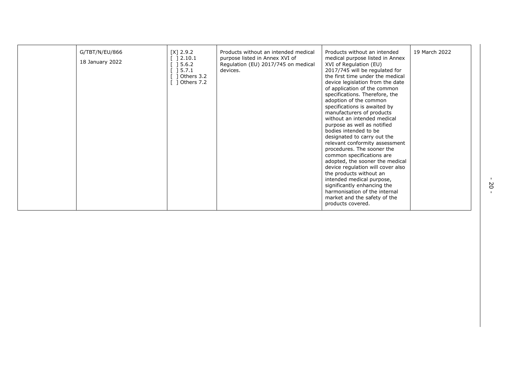| G/TBT/N/EU/866<br>18 January 2022 | $[X]$ 2.9.2<br>2.10.1<br>5.6.2<br>15.7.1<br>Others 3.2<br>1 Others 7.2 | Products without an intended medical<br>purpose listed in Annex XVI of<br>Regulation (EU) 2017/745 on medical<br>devices. | Products without an intended<br>medical purpose listed in Annex<br>XVI of Regulation (EU)<br>2017/745 will be regulated for<br>the first time under the medical<br>device legislation from the date<br>of application of the common<br>specifications. Therefore, the<br>adoption of the common<br>specifications is awaited by<br>manufacturers of products<br>without an intended medical<br>purpose as well as notified<br>bodies intended to be<br>designated to carry out the<br>relevant conformity assessment<br>procedures. The sooner the<br>common specifications are<br>adopted, the sooner the medical<br>device regulation will cover also<br>the products without an<br>intended medical purpose,<br>significantly enhancing the<br>harmonisation of the internal<br>market and the safety of the<br>products covered. | 19 March 2022 |
|-----------------------------------|------------------------------------------------------------------------|---------------------------------------------------------------------------------------------------------------------------|--------------------------------------------------------------------------------------------------------------------------------------------------------------------------------------------------------------------------------------------------------------------------------------------------------------------------------------------------------------------------------------------------------------------------------------------------------------------------------------------------------------------------------------------------------------------------------------------------------------------------------------------------------------------------------------------------------------------------------------------------------------------------------------------------------------------------------------|---------------|
|-----------------------------------|------------------------------------------------------------------------|---------------------------------------------------------------------------------------------------------------------------|--------------------------------------------------------------------------------------------------------------------------------------------------------------------------------------------------------------------------------------------------------------------------------------------------------------------------------------------------------------------------------------------------------------------------------------------------------------------------------------------------------------------------------------------------------------------------------------------------------------------------------------------------------------------------------------------------------------------------------------------------------------------------------------------------------------------------------------|---------------|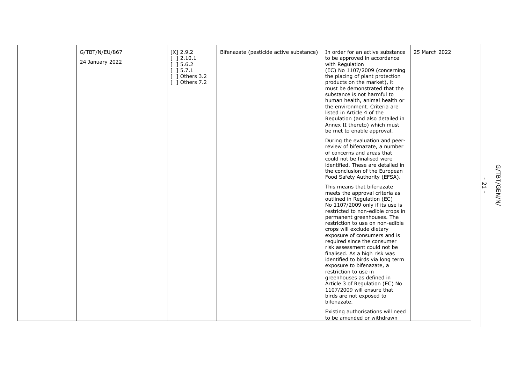| G/TBT/N/EU/867<br>24 January 2022 | $[X]$ 2.9.2<br>[ ] 2.10.1<br>[ ] 5.6.2]<br>[ ] 5.7.1<br>$[$ ] Others 3.2<br>[ ] Others 7.2 | Bifenazate (pesticide active substance) | In order for an active substance<br>to be approved in accordance<br>with Regulation<br>(EC) No 1107/2009 (concerning<br>the placing of plant protection<br>products on the market), it<br>must be demonstrated that the<br>substance is not harmful to<br>human health, animal health or<br>the environment. Criteria are<br>listed in Article 4 of the<br>Regulation (and also detailed in<br>Annex II thereto) which must<br>be met to enable approval.                                                                                                                                                                               | 25 March 2022 |
|-----------------------------------|--------------------------------------------------------------------------------------------|-----------------------------------------|-----------------------------------------------------------------------------------------------------------------------------------------------------------------------------------------------------------------------------------------------------------------------------------------------------------------------------------------------------------------------------------------------------------------------------------------------------------------------------------------------------------------------------------------------------------------------------------------------------------------------------------------|---------------|
|                                   |                                                                                            |                                         | During the evaluation and peer-<br>review of bifenazate, a number<br>of concerns and areas that<br>could not be finalised were<br>identified. These are detailed in<br>the conclusion of the European<br>Food Safety Authority (EFSA).                                                                                                                                                                                                                                                                                                                                                                                                  |               |
|                                   |                                                                                            |                                         | This means that bifenazate<br>meets the approval criteria as<br>outlined in Regulation (EC)<br>No 1107/2009 only if its use is<br>restricted to non-edible crops in<br>permanent greenhouses. The<br>restriction to use on non-edible<br>crops will exclude dietary<br>exposure of consumers and is<br>required since the consumer<br>risk assessment could not be<br>finalised. As a high risk was<br>identified to birds via long term<br>exposure to bifenazate, a<br>restriction to use in<br>greenhouses as defined in<br>Article 3 of Regulation (EC) No<br>1107/2009 will ensure that<br>birds are not exposed to<br>bifenazate. |               |
|                                   |                                                                                            |                                         | Existing authorisations will need<br>to be amended or withdrawn                                                                                                                                                                                                                                                                                                                                                                                                                                                                                                                                                                         |               |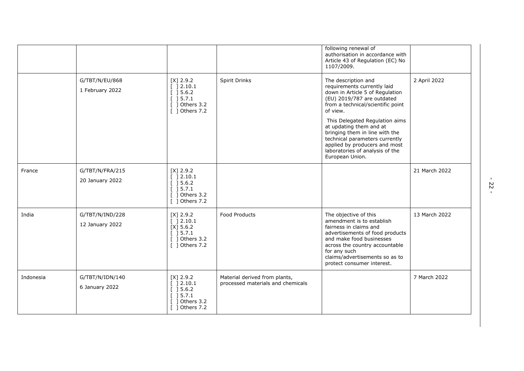|           |                                    |                                                                                                                               |                                                                    | following renewal of<br>authorisation in accordance with<br>Article 43 of Regulation (EC) No<br>1107/2009.                                                                                                                                                                                                                                                                                   |               |
|-----------|------------------------------------|-------------------------------------------------------------------------------------------------------------------------------|--------------------------------------------------------------------|----------------------------------------------------------------------------------------------------------------------------------------------------------------------------------------------------------------------------------------------------------------------------------------------------------------------------------------------------------------------------------------------|---------------|
|           | G/TBT/N/EU/868<br>1 February 2022  | $[X]$ 2.9.2<br>[ ] 2.10.1<br>[ ] 5.6.2]<br>$\begin{array}{c} \end{array}$ 15.7.1<br>$[$ ] Others 3.2<br>$\lceil$ 1 Others 7.2 | Spirit Drinks                                                      | The description and<br>requirements currently laid<br>down in Article 5 of Regulation<br>(EU) 2019/787 are outdated<br>from a technical/scientific point<br>of view.<br>This Delegated Regulation aims<br>at updating them and at<br>bringing them in line with the<br>technical parameters currently<br>applied by producers and most<br>laboratories of analysis of the<br>European Union. | 2 April 2022  |
| France    | G/TBT/N/FRA/215<br>20 January 2022 | $[X]$ 2.9.2<br>] 2.10.1<br>[ ] 5.6.2]<br>] 5.7.1<br>] Others 3.2<br>$[$ ] Others 7.2                                          |                                                                    |                                                                                                                                                                                                                                                                                                                                                                                              | 21 March 2022 |
| India     | G/TBT/N/IND/228<br>12 January 2022 | $[X]$ 2.9.2<br>[ ] 2.10.1<br>$[X]$ 5.6.2<br>[ ] 5.7.1<br>$[$ ] Others 3.2<br>[ ] Others 7.2                                   | <b>Food Products</b>                                               | The objective of this<br>amendment is to establish<br>fairness in claims and<br>advertisements of food products<br>and make food businesses<br>across the country accountable<br>for any such<br>claims/advertisements so as to<br>protect consumer interest.                                                                                                                                | 13 March 2022 |
| Indonesia | G/TBT/N/IDN/140<br>6 January 2022  | $[X]$ 2.9.2<br>[ ] 2.10.1<br>[ ] 5.6.2]<br>[ ] 5.7.1<br>1 Others 3.2<br>1 Others 7.2                                          | Material derived from plants,<br>processed materials and chemicals |                                                                                                                                                                                                                                                                                                                                                                                              | 7 March 2022  |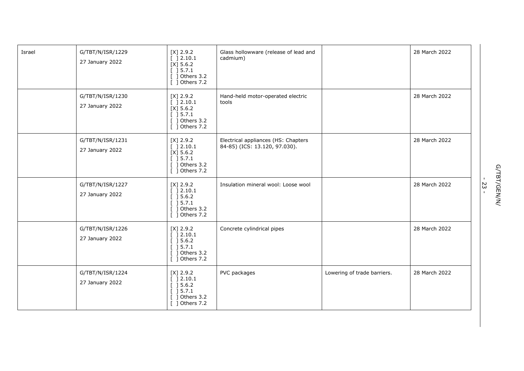| Israel | G/TBT/N/ISR/1229<br>27 January 2022 | $[X]$ 2.9.2<br>[ ] 2.10.1<br>$[X]$ 5.6.2<br>$[$ ] 5.7.1<br>$[$ ] Others 3.2<br>[ ] Others 7.2   | Glass hollowware (release of lead and<br>cadmium)                    |                             | 28 March 2022 |
|--------|-------------------------------------|-------------------------------------------------------------------------------------------------|----------------------------------------------------------------------|-----------------------------|---------------|
|        | G/TBT/N/ISR/1230<br>27 January 2022 | $[X]$ 2.9.2<br>[ ] 2.10.1<br>$[X]$ 5.6.2<br>[ ] 5.7.1<br>$[$ ] Others 3.2<br>[ ] Others 7.2     | Hand-held motor-operated electric<br>tools                           |                             | 28 March 2022 |
|        | G/TBT/N/ISR/1231<br>27 January 2022 | $[X]$ 2.9.2<br>[ ] 2.10.1<br>$[X]$ 5.6.2<br>[ ] 5.7.1<br>$[$ ] Others 3.2<br>[ ] Others 7.2     | Electrical appliances (HS: Chapters<br>84-85) (ICS: 13.120, 97.030). |                             | 28 March 2022 |
|        | G/TBT/N/ISR/1227<br>27 January 2022 | $[X]$ 2.9.2<br>[ ] 2.10.1<br>[ ] 5.6.2]<br>[ ] 5.7.1<br>$[$ ] Others 3.2<br>[ ] Others 7.2      | Insulation mineral wool: Loose wool                                  |                             | 28 March 2022 |
|        | G/TBT/N/ISR/1226<br>27 January 2022 | $[X]$ 2.9.2<br>[ ] 2.10.1<br>[ ] 5.6.2]<br>[ ] 5.7.1<br>$\lceil$ 1 Others 3.2<br>[ ] Others 7.2 | Concrete cylindrical pipes                                           |                             | 28 March 2022 |
|        | G/TBT/N/ISR/1224<br>27 January 2022 | $[X]$ 2.9.2<br>[ ] 2.10.1<br>[ ] 5.6.2]<br>[ ] 5.7.1<br>$\lceil$ 1 Others 3.2<br>[ ] Others 7.2 | PVC packages                                                         | Lowering of trade barriers. | 28 March 2022 |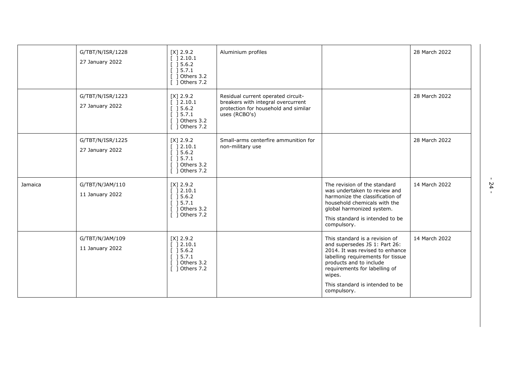|         | G/TBT/N/ISR/1228<br>27 January 2022 | $[X]$ 2.9.2<br>[ ] 2.10.1<br>$\begin{array}{c} \end{array}$ ] 5.6.2<br>$[$ ] 5.7.1<br>[ ] Others 3.2<br>[ ] Others 7.2 | Aluminium profiles                                                                                                                |                                                                                                                                                                                                                                                                 | 28 March 2022 |
|---------|-------------------------------------|------------------------------------------------------------------------------------------------------------------------|-----------------------------------------------------------------------------------------------------------------------------------|-----------------------------------------------------------------------------------------------------------------------------------------------------------------------------------------------------------------------------------------------------------------|---------------|
|         | G/TBT/N/ISR/1223<br>27 January 2022 | $[X]$ 2.9.2<br>$[$ 1 2.10.1<br>] 5.6.2<br>] 5.7.1<br>] Others 3.2<br>[ ] Others 7.2                                    | Residual current operated circuit-<br>breakers with integral overcurrent<br>protection for household and similar<br>uses (RCBO's) |                                                                                                                                                                                                                                                                 | 28 March 2022 |
|         | G/TBT/N/ISR/1225<br>27 January 2022 | $[X]$ 2.9.2<br>[ ] 2.10.1<br>[ ] 5.6.2]<br>$[$ 15.7.1<br>1 Others 3.2<br>$\lceil$ 1 Others 7.2                         | Small-arms centerfire ammunition for<br>non-military use                                                                          |                                                                                                                                                                                                                                                                 | 28 March 2022 |
| Jamaica | G/TBT/N/JAM/110<br>11 January 2022  | $[X]$ 2.9.2<br>[ ] 2.10.1<br>[ ] 5.6.2]<br>[ ] 5.7.1<br>$\frac{1}{2}$ Others 3.2<br>[ ] Others 7.2                     |                                                                                                                                   | The revision of the standard<br>was undertaken to review and<br>harmonize the classification of<br>household chemicals with the<br>global harmonized system.<br>This standard is intended to be<br>compulsory.                                                  | 14 March 2022 |
|         | G/TBT/N/JAM/109<br>11 January 2022  | $[X]$ 2.9.2<br>[ ] 2.10.1<br>[ ] 5.6.2]<br>[ ] 5.7.1<br>1 Others 3.2<br>[ ] Others 7.2                                 |                                                                                                                                   | This standard is a revision of<br>and supersedes JS 1: Part 26:<br>2014. It was revised to enhance<br>labelling requirements for tissue<br>products and to include<br>requirements for labelling of<br>wipes.<br>This standard is intended to be<br>compulsory. | 14 March 2022 |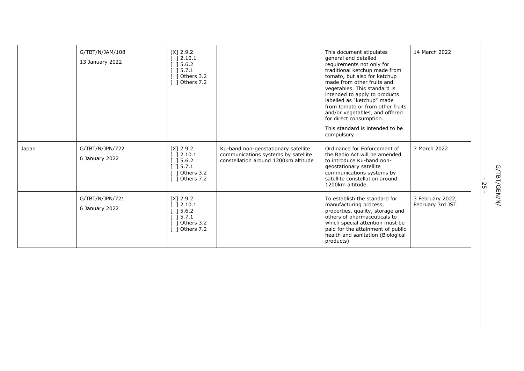|       | G/TBT/N/JAM/108<br>13 January 2022 | $[X]$ 2.9.2<br>] 2.10.1<br>15.6.2<br>] 5.7.1<br>] Others 3.2<br>] Others 7.2                      |                                                                                                                    | This document stipulates<br>general and detailed<br>requirements not only for<br>traditional ketchup made from<br>tomato, but also for ketchup<br>made from other fruits and<br>vegetables. This standard is<br>intended to apply to products<br>labelled as "ketchup" made<br>from tomato or from other fruits<br>and/or vegetables, and offered<br>for direct consumption.<br>This standard is intended to be<br>compulsory. | 14 March 2022                        |
|-------|------------------------------------|---------------------------------------------------------------------------------------------------|--------------------------------------------------------------------------------------------------------------------|--------------------------------------------------------------------------------------------------------------------------------------------------------------------------------------------------------------------------------------------------------------------------------------------------------------------------------------------------------------------------------------------------------------------------------|--------------------------------------|
| Japan | G/TBT/N/JPN/722<br>6 January 2022  | $[X]$ 2.9.2<br>[ ] 2.10.1<br>[ ] 5.6.2]<br>[ ] 5.7.1<br>$[$ ] Others 3.2<br>$\lceil$ 1 Others 7.2 | Ku-band non-geostationary satellite<br>communications systems by satellite<br>constellation around 1200km altitude | Ordinance for Enforcement of<br>the Radio Act will be amended<br>to introduce Ku-band non-<br>geostationary satellite<br>communications systems by<br>satellite constellation around<br>1200km altitude.                                                                                                                                                                                                                       | 7 March 2022                         |
|       | G/TBT/N/JPN/721<br>6 January 2022  | $[X]$ 2.9.2<br>] 2.10.1<br>[ ] 5.6.2]<br>$[$ 15.7.1<br>$[$ ] Others 3.2<br>$[$ ] Others 7.2       |                                                                                                                    | To establish the standard for<br>manufacturing process,<br>properties, quality, storage and<br>others of pharmaceuticals to<br>which special attention must be<br>paid for the attainment of public<br>health and sanitation (Biological<br>products)                                                                                                                                                                          | 3 February 2022,<br>February 3rd JST |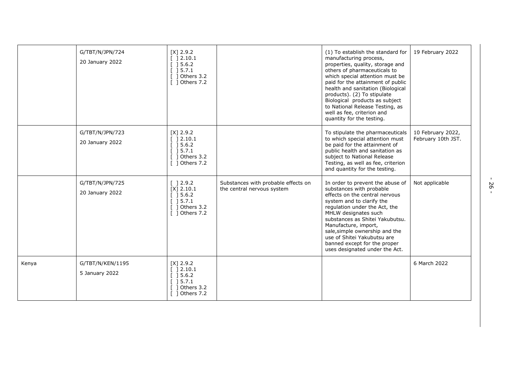|       | G/TBT/N/JPN/724<br>20 January 2022 | $[X]$ 2.9.2<br>[ ] 2.10.1<br>[ ] 5.6.2]<br>[ ] 5.7.1<br>$[$ ] Others 3.2<br>[ ] Others 7.2          |                                                                   | (1) To establish the standard for<br>manufacturing process,<br>properties, quality, storage and<br>others of pharmaceuticals to<br>which special attention must be<br>paid for the attainment of public<br>health and sanitation (Biological<br>products). (2) To stipulate<br>Biological products as subject<br>to National Release Testing, as<br>well as fee, criterion and<br>quantity for the testing. | 19 February 2022                        |
|-------|------------------------------------|-----------------------------------------------------------------------------------------------------|-------------------------------------------------------------------|-------------------------------------------------------------------------------------------------------------------------------------------------------------------------------------------------------------------------------------------------------------------------------------------------------------------------------------------------------------------------------------------------------------|-----------------------------------------|
|       | G/TBT/N/JPN/723<br>20 January 2022 | $[X]$ 2.9.2<br>[ ] 2.10.1<br>$[$ 15.6.2<br>$[$ ] 5.7.1<br>$[$ ] Others 3.2<br>$\lceil$ 1 Others 7.2 |                                                                   | To stipulate the pharmaceuticals<br>to which special attention must<br>be paid for the attainment of<br>public health and sanitation as<br>subject to National Release<br>Testing, as well as fee, criterion<br>and quantity for the testing.                                                                                                                                                               | 10 February 2022,<br>February 10th JST. |
|       | G/TBT/N/JPN/725<br>20 January 2022 | [ ] 2.9.2<br>$[X]$ 2.10.1<br>[ ] 5.6.2]<br>$[$ ] 5.7.1<br>$\lceil$ 1 Others 3.2<br>[ ] Others 7.2   | Substances with probable effects on<br>the central nervous system | In order to prevent the abuse of<br>substances with probable<br>effects on the central nervous<br>system and to clarify the<br>regulation under the Act, the<br>MHLW designates such<br>substances as Shitei Yakubutsu.<br>Manufacture, import,<br>sale, simple ownership and the<br>use of Shitei Yakubutsu are<br>banned except for the proper<br>uses designated under the Act.                          | Not applicable                          |
| Kenya | G/TBT/N/KEN/1195<br>5 January 2022 | $[X]$ 2.9.2<br>[ ] 2.10.1<br>$[$ ] 5.6.2<br>$[$ ] 5.7.1<br>Others 3.2<br>[ 1 Others 7.2             |                                                                   |                                                                                                                                                                                                                                                                                                                                                                                                             | 6 March 2022                            |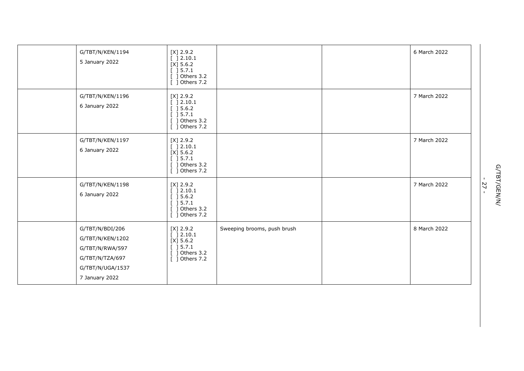| G/TBT/N/KEN/1194<br>5 January 2022                                                                              | $[X]$ 2.9.2<br>[ ] 2.10.1<br>$[X]$ 5.6.2<br>[ ] 5.7.1<br>$[$ ] Others 3.2<br>[ ] Others 7.2                             |                             | 6 March 2022 |
|-----------------------------------------------------------------------------------------------------------------|-------------------------------------------------------------------------------------------------------------------------|-----------------------------|--------------|
| G/TBT/N/KEN/1196<br>6 January 2022                                                                              | $[X]$ 2.9.2<br>[ ] 2.10.1<br>[ ] 5.6.2]<br>[ ] 5.7.1<br>$[$ ] Others 3.2<br>[ ] Others 7.2                              |                             | 7 March 2022 |
| G/TBT/N/KEN/1197<br>6 January 2022                                                                              | $[X]$ 2.9.2<br>[ ] 2.10.1<br>$[X]$ 5.6.2<br>[ ] 5.7.1<br>[ ] Others 3.2<br>[ ] Others 7.2                               |                             | 7 March 2022 |
| G/TBT/N/KEN/1198<br>6 January 2022                                                                              | $[X]$ 2.9.2<br>[ ] 2.10.1<br>[ ] 5.6.2]<br>[ ] 5.7.1<br>[ ] Others 3.2<br>[ ] Others 7.2                                |                             | 7 March 2022 |
| G/TBT/N/BDI/206<br>G/TBT/N/KEN/1202<br>G/TBT/N/RWA/597<br>G/TBT/N/TZA/697<br>G/TBT/N/UGA/1537<br>7 January 2022 | $[X]$ 2.9.2<br>[ ] 2.10.1<br>$[X]$ 5.6.2<br>$\left[\begin{array}{c}\right]$ 5.7.1<br>$[$ ] Others 3.2<br>[ ] Others 7.2 | Sweeping brooms, push brush | 8 March 2022 |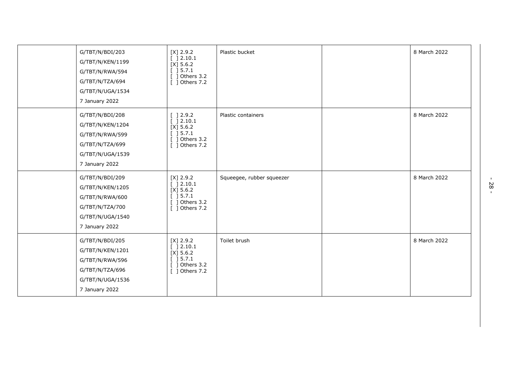| G/TBT/N/BDI/203<br>G/TBT/N/KEN/1199<br>G/TBT/N/RWA/594<br>G/TBT/N/TZA/694<br>G/TBT/N/UGA/1534<br>7 January 2022 | $[X]$ 2.9.2<br>[ ] 2.10.1<br>$[X]$ 5.6.2<br>[ ] 5.7.1<br>$[$ ] Others 3.2<br>[ ] Others 7.2                                           | Plastic bucket            | 8 March 2022 |
|-----------------------------------------------------------------------------------------------------------------|---------------------------------------------------------------------------------------------------------------------------------------|---------------------------|--------------|
| G/TBT/N/BDI/208<br>G/TBT/N/KEN/1204<br>G/TBT/N/RWA/599<br>G/TBT/N/TZA/699<br>G/TBT/N/UGA/1539<br>7 January 2022 | $\left[\begin{array}{c}\n1.2.9.2\n\end{array}\right]$<br>[ ] 2.10.1<br>$[X]$ 5.6.2<br>[ ] 5.7.1<br>$[$ ] Others 3.2<br>[ ] Others 7.2 | Plastic containers        | 8 March 2022 |
| G/TBT/N/BDI/209<br>G/TBT/N/KEN/1205<br>G/TBT/N/RWA/600<br>G/TBT/N/TZA/700<br>G/TBT/N/UGA/1540<br>7 January 2022 | $[X]$ 2.9.2<br>[ ] 2.10.1<br>$[X]$ 5.6.2<br>[ ] 5.7.1<br>$[$ ] Others 3.2<br>$[$ ] Others 7.2                                         | Squeegee, rubber squeezer | 8 March 2022 |
| G/TBT/N/BDI/205<br>G/TBT/N/KEN/1201<br>G/TBT/N/RWA/596<br>G/TBT/N/TZA/696<br>G/TBT/N/UGA/1536<br>7 January 2022 | $[X]$ 2.9.2<br>[ ] 2.10.1<br>$[X]$ 5.6.2<br>[ ] 5.7.1<br>$[$ ] Others 3.2<br>[ ] Others 7.2                                           | Toilet brush              | 8 March 2022 |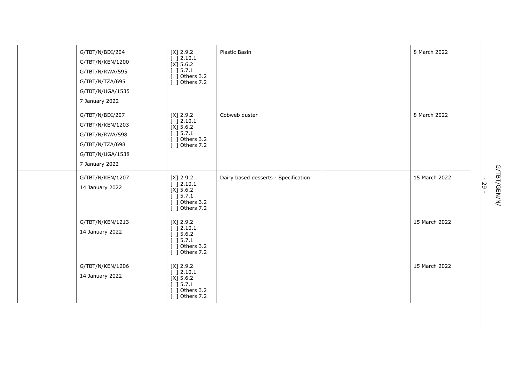| G/TBT/N/BDI/204<br>G/TBT/N/KEN/1200<br>G/TBT/N/RWA/595<br>G/TBT/N/TZA/695<br>G/TBT/N/UGA/1535<br>7 January 2022 | $[X]$ 2.9.2<br>[ ]2.10.1<br>$[X]$ 5.6.2<br>[ ] 5.7.1<br>$[$ ] Others 3.2<br>[ ] Others 7.2             | Plastic Basin                        | 8 March 2022  |
|-----------------------------------------------------------------------------------------------------------------|--------------------------------------------------------------------------------------------------------|--------------------------------------|---------------|
| G/TBT/N/BDI/207<br>G/TBT/N/KEN/1203<br>G/TBT/N/RWA/598<br>G/TBT/N/TZA/698<br>G/TBT/N/UGA/1538<br>7 January 2022 | $[X]$ 2.9.2<br>[ ] 2.10.1<br>$[X]$ 5.6.2<br>[ ] 5.7.1<br>$\overline{$ ] Others 3.2<br>[ ] Others 7.2   | Cobweb duster                        | 8 March 2022  |
| G/TBT/N/KEN/1207<br>14 January 2022                                                                             | $[X]$ 2.9.2<br>[ ] 2.10.1<br>$[X]$ 5.6.2<br>[ ] 5.7.1<br>$[$ ] Others 3.2<br>$\overline{$ ] Others 7.2 | Dairy based desserts - Specification | 15 March 2022 |
| G/TBT/N/KEN/1213<br>14 January 2022                                                                             | $[X]$ 2.9.2<br>[ ] 2.10.1<br>[ ] 5.6.2]<br>[ ] 5.7.1<br>$[$ ] Others 3.2<br>[ ] Others 7.2             |                                      | 15 March 2022 |
| G/TBT/N/KEN/1206<br>14 January 2022                                                                             | $[X]$ 2.9.2<br>[ ] 2.10.1<br>$[X]$ 5.6.2<br>[ ] 5.7.1<br>$[$ ] Others 3.2<br>[ ] Others 7.2            |                                      | 15 March 2022 |

G/TBT/GEN/N/<br>- 29 -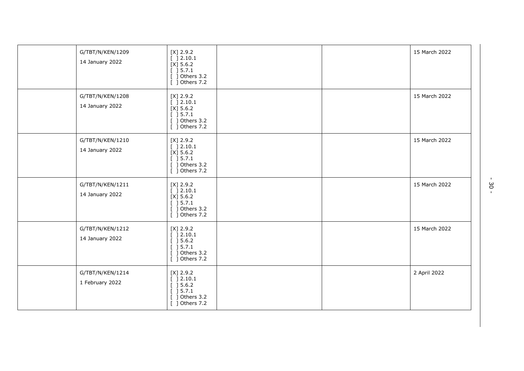| G/TBT/N/KEN/1209<br>14 January 2022 | $[X]$ 2.9.2<br>[ ] 2.10.1<br>$[X]$ 5.6.2<br>[ ] 5.7.1<br>[ ] Others 3.2<br>$\overline{[}$ ] Others 7.2    |  | 15 March 2022 |
|-------------------------------------|-----------------------------------------------------------------------------------------------------------|--|---------------|
| G/TBT/N/KEN/1208<br>14 January 2022 | $[X]$ 2.9.2<br>[ ] 2.10.1<br>$[X]$ 5.6.2<br>[ ] 5.7.1<br>$[$ ] Others 3.2<br>$\overline{$ ] Others 7.2    |  | 15 March 2022 |
| G/TBT/N/KEN/1210<br>14 January 2022 | $[X]$ 2.9.2<br>[ ] 2.10.1<br>$[X]$ 5.6.2<br>$[$ ] 5.7.1<br>$[$ ] Others 3.2<br>$\frac{1}{2}$ Others 7.2   |  | 15 March 2022 |
| G/TBT/N/KEN/1211<br>14 January 2022 | $[X]$ 2.9.2<br>[ ] 2.10.1<br>$[X]$ 5.6.2<br>[ ] 5.7.1<br>$[$ ] Others 3.2<br>[ ] Others 7.2               |  | 15 March 2022 |
| G/TBT/N/KEN/1212<br>14 January 2022 | $[X]$ 2.9.2<br>[ ] 2.10.1<br>[ ] 5.6.2]<br>[ ] 5.7.1<br>] Others 3.2<br>T.<br>$\overline{[}$ ] Others 7.2 |  | 15 March 2022 |
| G/TBT/N/KEN/1214<br>1 February 2022 | $[X]$ 2.9.2<br>[ ] 2.10.1<br>[ ] 5.6.2]<br>[ ] 5.7.1<br>] Others 3.2<br>[ ] Others 7.2                    |  | 2 April 2022  |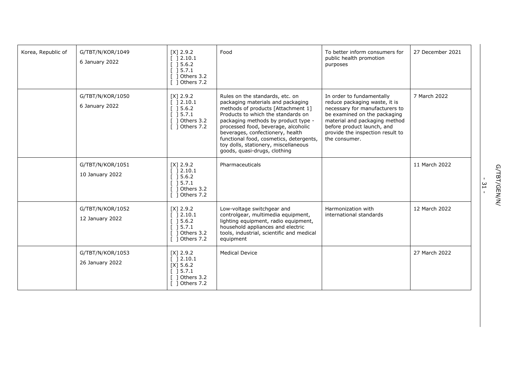| Korea, Republic of | G/TBT/N/KOR/1049<br>6 January 2022  | $[X]$ 2.9.2<br>[ ] 2.10.1<br>[ ] 5.6.2]<br>[ ] 5.7.1<br>$[$ ] Others 3.2<br>$\lceil$ 1 Others 7.2 | Food                                                                                                                                                                                                                                                                                                                                                                                  | To better inform consumers for<br>public health promotion<br>purposes                                                                                                                                                                            | 27 December 2021 |
|--------------------|-------------------------------------|---------------------------------------------------------------------------------------------------|---------------------------------------------------------------------------------------------------------------------------------------------------------------------------------------------------------------------------------------------------------------------------------------------------------------------------------------------------------------------------------------|--------------------------------------------------------------------------------------------------------------------------------------------------------------------------------------------------------------------------------------------------|------------------|
|                    | G/TBT/N/KOR/1050<br>6 January 2022  | $[X]$ 2.9.2<br>[ ] 2.10.1<br>[ ] 5.6.2]<br>$[$ ] 5.7.1<br>$[$ ] Others 3.2<br>[ ] Others 7.2      | Rules on the standards, etc. on<br>packaging materials and packaging<br>methods of products [Attachment 1]<br>Products to which the standards on<br>packaging methods by product type -<br>processed food, beverage, alcoholic<br>beverages, confectionery, health<br>functional food, cosmetics, detergents,<br>toy dolls, stationery, miscellaneous<br>goods, quasi-drugs, clothing | In order to fundamentally<br>reduce packaging waste, it is<br>necessary for manufacturers to<br>be examined on the packaging<br>material and packaging method<br>before product launch, and<br>provide the inspection result to<br>the consumer. | 7 March 2022     |
|                    | G/TBT/N/KOR/1051<br>10 January 2022 | $[X]$ 2.9.2<br>[ ] 2.10.1<br>[ ] 5.6.2]<br>[ ] 5.7.1<br>$[$ ] Others 3.2<br>[ ] Others 7.2        | Pharmaceuticals                                                                                                                                                                                                                                                                                                                                                                       |                                                                                                                                                                                                                                                  | 11 March 2022    |
|                    | G/TBT/N/KOR/1052<br>12 January 2022 | $[X]$ 2.9.2<br>[ ] 2.10.1<br>[ ] 5.6.2]<br>[ ] 5.7.1<br>$\lceil$ 1 Others 3.2<br>[ ] Others 7.2   | Low-voltage switchgear and<br>controlgear, multimedia equipment,<br>lighting equipment, radio equipment,<br>household appliances and electric<br>tools, industrial, scientific and medical<br>equipment                                                                                                                                                                               | Harmonization with<br>international standards                                                                                                                                                                                                    | 12 March 2022    |
|                    | G/TBT/N/KOR/1053<br>26 January 2022 | $[X]$ 2.9.2<br>[ ] 2.10.1<br>$[X]$ 5.6.2<br>$[$ 15.7.1<br>$[$ ] Others 3.2<br>$[$ ] Others 7.2    | <b>Medical Device</b>                                                                                                                                                                                                                                                                                                                                                                 |                                                                                                                                                                                                                                                  | 27 March 2022    |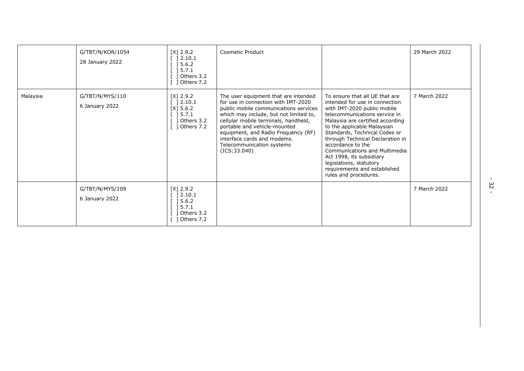|          | G/TBT/N/KOR/1054<br>28 January 2022 | $[X]$ 2.9.2<br>$\begin{array}{c} \end{array}$ ] 2.10.1<br>$[] 5.6.2$<br>] 5.7.1<br>Others 3.2<br>Others 7.2 | <b>Cosmetic Product</b>                                                                                                                                                                                                                                                                                                                                    |                                                                                                                                                                                                                                                                                                                                                                                                                                                | 29 March 2022 |
|----------|-------------------------------------|-------------------------------------------------------------------------------------------------------------|------------------------------------------------------------------------------------------------------------------------------------------------------------------------------------------------------------------------------------------------------------------------------------------------------------------------------------------------------------|------------------------------------------------------------------------------------------------------------------------------------------------------------------------------------------------------------------------------------------------------------------------------------------------------------------------------------------------------------------------------------------------------------------------------------------------|---------------|
| Malaysia | G/TBT/N/MYS/110<br>6 January 2022   | $[X]$ 2.9.2<br>] 2.10.1<br>$[X]$ 5.6.2<br>] 5.7.1<br>Others 3.2<br>Others 7.2                               | The user equipment that are intended<br>for use in connection with IMT-2020<br>public mobile communications services<br>which may include, but not limited to,<br>cellular mobile terminals, handheld,<br>portable and vehicle-mounted<br>equipment, and Radio Frequency (RF)<br>interface cards and modems.<br>Telecommunication systems<br>(ICS: 33.040) | To ensure that all UE that are<br>intended for use in connection<br>with IMT-2020 public mobile<br>telecommunications service in<br>Malaysia are certified according<br>to the applicable Malaysian<br>Standards, Technical Codes or<br>through Technical Declaration in<br>accordance to the<br>Communications and Multimedia<br>Act 1998, its subsidiary<br>legislations, statutory<br>requirements and established<br>rules and procedures. | 7 March 2022  |
|          | G/TBT/N/MYS/109<br>6 January 2022   | $[X]$ 2.9.2<br>] 2.10.1<br>] 5.6.2<br>] 5.7.1<br>] Others 3.2<br>Others 7.2                                 |                                                                                                                                                                                                                                                                                                                                                            |                                                                                                                                                                                                                                                                                                                                                                                                                                                | 7 March 2022  |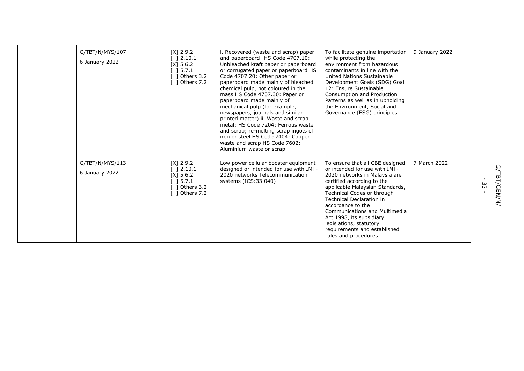| G/TBT/N/MYS/107<br>6 January 2022 | $[X]$ 2.9.2<br>$\lceil$ 12.10.1<br>$[X]$ 5.6.2<br>$\begin{bmatrix} 1 & 5 & 7 & 1 \end{bmatrix}$<br>$[$ ] Others 3.2<br>$\lceil$ 1 Others 7.2 | i. Recovered (waste and scrap) paper<br>and paperboard: HS Code 4707.10:<br>Unbleached kraft paper or paperboard<br>or corrugated paper or paperboard HS<br>Code 4707.20: Other paper or<br>paperboard made mainly of bleached<br>chemical pulp, not coloured in the<br>mass HS Code 4707.30: Paper or<br>paperboard made mainly of<br>mechanical pulp (for example,<br>newspapers, journals and similar<br>printed matter) ii. Waste and scrap<br>metal: HS Code 7204: Ferrous waste<br>and scrap; re-melting scrap ingots of<br>iron or steel HS Code 7404: Copper<br>waste and scrap HS Code 7602: | To facilitate genuine importation<br>while protecting the<br>environment from hazardous<br>contaminants in line with the<br>United Nations Sustainable<br>Development Goals (SDG) Goal<br>12: Ensure Sustainable<br>Consumption and Production<br>Patterns as well as in upholding<br>the Environment, Social and<br>Governance (ESG) principles.                                                         | 9 January 2022 |
|-----------------------------------|----------------------------------------------------------------------------------------------------------------------------------------------|-------------------------------------------------------------------------------------------------------------------------------------------------------------------------------------------------------------------------------------------------------------------------------------------------------------------------------------------------------------------------------------------------------------------------------------------------------------------------------------------------------------------------------------------------------------------------------------------------------|-----------------------------------------------------------------------------------------------------------------------------------------------------------------------------------------------------------------------------------------------------------------------------------------------------------------------------------------------------------------------------------------------------------|----------------|
| G/TBT/N/MYS/113<br>6 January 2022 | $[X]$ 2.9.2<br>[ ] 2.10.1<br>$[X]$ 5.6.2<br>[ ] 5.7.1<br>$[$ ] Others 3.2<br>$\lceil$ 1 Others 7.2                                           | Aluminium waste or scrap<br>Low power cellular booster equipment<br>designed or intended for use with IMT-<br>2020 networks Telecommunication<br>systems (ICS:33.040)                                                                                                                                                                                                                                                                                                                                                                                                                                 | To ensure that all CBE designed<br>or intended for use with IMT-<br>2020 networks in Malaysia are<br>certified according to the<br>applicable Malaysian Standards,<br>Technical Codes or through<br><b>Technical Declaration in</b><br>accordance to the<br>Communications and Multimedia<br>Act 1998, its subsidiary<br>legislations, statutory<br>requirements and established<br>rules and procedures. | 7 March 2022   |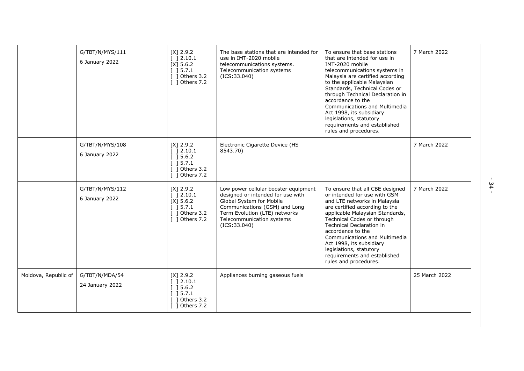|                      | G/TBT/N/MYS/111<br>6 January 2022 | $[X]$ 2.9.2<br>[ ] 2.10.1<br>$[X]$ 5.6.2<br>[ ] 5.7.1<br>$[$ ] Others 3.2<br>$\lceil$ 1 Others 7.2   | The base stations that are intended for<br>use in IMT-2020 mobile<br>telecommunications systems.<br>Telecommunication systems<br>(ICS: 33.040)                                                                        | To ensure that base stations<br>that are intended for use in<br>IMT-2020 mobile<br>telecommunications systems in<br>Malaysia are certified according<br>to the applicable Malaysian<br>Standards, Technical Codes or<br>through Technical Declaration in<br>accordance to the<br>Communications and Multimedia<br>Act 1998, its subsidiary<br>legislations, statutory<br>requirements and established<br>rules and procedures. | 7 March 2022  |
|----------------------|-----------------------------------|------------------------------------------------------------------------------------------------------|-----------------------------------------------------------------------------------------------------------------------------------------------------------------------------------------------------------------------|--------------------------------------------------------------------------------------------------------------------------------------------------------------------------------------------------------------------------------------------------------------------------------------------------------------------------------------------------------------------------------------------------------------------------------|---------------|
|                      | G/TBT/N/MYS/108<br>6 January 2022 | $[X]$ 2.9.2<br>$[$ 12.10.1<br>$\lceil$ 15.6.2<br>15.7.1<br>Others 3.2<br>$\lceil$ 1 Others 7.2       | Electronic Cigarette Device (HS<br>8543.70)                                                                                                                                                                           |                                                                                                                                                                                                                                                                                                                                                                                                                                | 7 March 2022  |
|                      | G/TBT/N/MYS/112<br>6 January 2022 | $[X]$ 2.9.2<br>[ ] 2.10.1<br>$[X]$ 5.6.2<br>$[$ 15.7.1<br>$[$ ] Others 3.2<br>$\lceil$ 1 Others 7.2  | Low power cellular booster equipment<br>designed or intended for use with<br>Global System for Mobile<br>Communications (GSM) and Long<br>Term Evolution (LTE) networks<br>Telecommunication systems<br>(ICS: 33.040) | To ensure that all CBE designed<br>or intended for use with GSM<br>and LTE networks in Malaysia<br>are certified according to the<br>applicable Malaysian Standards,<br>Technical Codes or through<br><b>Technical Declaration in</b><br>accordance to the<br><b>Communications and Multimedia</b><br>Act 1998, its subsidiary<br>legislations, statutory<br>requirements and established<br>rules and procedures.             | 7 March 2022  |
| Moldova, Republic of | G/TBT/N/MDA/54<br>24 January 2022 | $[X]$ 2.9.2<br>$\lceil$ 12.10.1<br>[ ] 5.6.2]<br>$[$ 15.7.1<br>1 Others 3.2<br>$\lceil$ 1 Others 7.2 | Appliances burning gaseous fuels                                                                                                                                                                                      |                                                                                                                                                                                                                                                                                                                                                                                                                                | 25 March 2022 |

-<br>34 -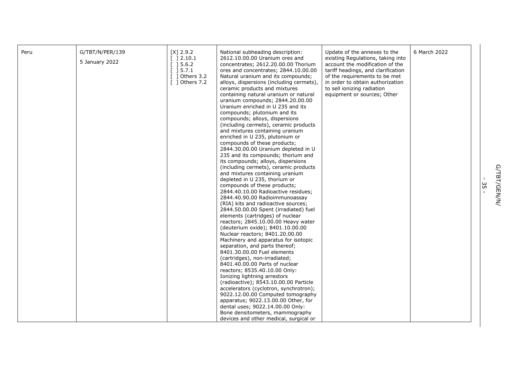| Peru | G/TBT/N/PER/139<br>5 January 2022 | $[X]$ 2.9.2<br>[ ] 2.10.1<br>$[$ 15.6.2<br>$[$ 15.7.1<br>$\lceil$ 1 Others 3.2<br>$\lceil$ 1 Others 7.2 | National subheading description:<br>2612.10.00.00 Uranium ores and<br>concentrates; 2612.20.00.00 Thorium<br>ores and concentrates; 2844.10.00.00<br>Natural uranium and its compounds;<br>alloys, dispersions (including cermets),<br>ceramic products and mixtures<br>containing natural uranium or natural<br>uranium compounds; 2844.20.00.00<br>Uranium enriched in U 235 and its<br>compounds; plutonium and its<br>compounds; alloys, dispersions<br>(including cermets), ceramic products<br>and mixtures containing uranium<br>enriched in U 235, plutonium or<br>compounds of these products;<br>2844.30.00.00 Uranium depleted in U<br>235 and its compounds; thorium and<br>its compounds; alloys, dispersions<br>(including cermets), ceramic products<br>and mixtures containing uranium<br>depleted in U 235, thorium or<br>compounds of these products;<br>2844.40.10.00 Radioactive residues;<br>2844.40.90.00 Radioimmunoassay<br>(RIA) kits and radioactive sources;<br>2844.50.00.00 Spent (irradiated) fuel<br>elements (cartridges) of nuclear<br>reactors; 2845.10.00.00 Heavy water<br>(deuterium oxide); 8401.10.00.00<br>Nuclear reactors; 8401.20.00.00<br>Machinery and apparatus for isotopic<br>separation, and parts thereof;<br>8401.30.00.00 Fuel elements<br>(cartridges), non-irradiated;<br>8401.40.00.00 Parts of nuclear<br>reactors; 8535.40.10.00 Only:<br>Ionizing lightning arrestors<br>(radioactive); 8543.10.00.00 Particle<br>accelerators (cyclotron, synchrotron);<br>9022.12.00.00 Computed tomography<br>apparatus; 9022.13.00.00 Other, for<br>dental uses; 9022.14.00.00 Only:<br>Bone densitometers, mammography<br>devices and other medical, surgical or | Update of the annexes to the<br>existing Regulations, taking into<br>account the modification of the<br>tariff headings, and clarification<br>of the requirements to be met<br>in order to obtain authorization<br>to sell ionizing radiation<br>equipment or sources; Other | 6 March 2022 |
|------|-----------------------------------|---------------------------------------------------------------------------------------------------------|-----------------------------------------------------------------------------------------------------------------------------------------------------------------------------------------------------------------------------------------------------------------------------------------------------------------------------------------------------------------------------------------------------------------------------------------------------------------------------------------------------------------------------------------------------------------------------------------------------------------------------------------------------------------------------------------------------------------------------------------------------------------------------------------------------------------------------------------------------------------------------------------------------------------------------------------------------------------------------------------------------------------------------------------------------------------------------------------------------------------------------------------------------------------------------------------------------------------------------------------------------------------------------------------------------------------------------------------------------------------------------------------------------------------------------------------------------------------------------------------------------------------------------------------------------------------------------------------------------------------------------------------------------------------------------------------------------------------|------------------------------------------------------------------------------------------------------------------------------------------------------------------------------------------------------------------------------------------------------------------------------|--------------|
|------|-----------------------------------|---------------------------------------------------------------------------------------------------------|-----------------------------------------------------------------------------------------------------------------------------------------------------------------------------------------------------------------------------------------------------------------------------------------------------------------------------------------------------------------------------------------------------------------------------------------------------------------------------------------------------------------------------------------------------------------------------------------------------------------------------------------------------------------------------------------------------------------------------------------------------------------------------------------------------------------------------------------------------------------------------------------------------------------------------------------------------------------------------------------------------------------------------------------------------------------------------------------------------------------------------------------------------------------------------------------------------------------------------------------------------------------------------------------------------------------------------------------------------------------------------------------------------------------------------------------------------------------------------------------------------------------------------------------------------------------------------------------------------------------------------------------------------------------------------------------------------------------|------------------------------------------------------------------------------------------------------------------------------------------------------------------------------------------------------------------------------------------------------------------------------|--------------|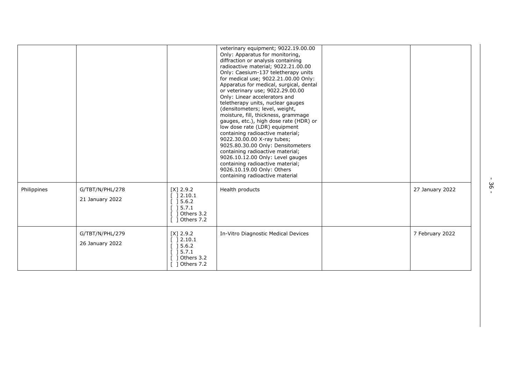|             |                                    |                                                                                                                           | veterinary equipment; 9022.19.00.00<br>Only: Apparatus for monitoring,<br>diffraction or analysis containing<br>radioactive material; 9022.21.00.00<br>Only: Caesium-137 teletherapy units<br>for medical use; 9022.21.00.00 Only:<br>Apparatus for medical, surgical, dental<br>or veterinary use; 9022.29.00.00<br>Only: Linear accelerators and<br>teletherapy units, nuclear gauges<br>(densitometers; level, weight,<br>moisture, fill, thickness, grammage<br>gauges, etc.), high dose rate (HDR) or<br>low dose rate (LDR) equipment<br>containing radioactive material;<br>9022.30.00.00 X-ray tubes;<br>9025.80.30.00 Only: Densitometers<br>containing radioactive material;<br>9026.10.12.00 Only: Level gauges<br>containing radioactive material;<br>9026.10.19.00 Only: Others<br>containing radioactive material |                 |
|-------------|------------------------------------|---------------------------------------------------------------------------------------------------------------------------|---------------------------------------------------------------------------------------------------------------------------------------------------------------------------------------------------------------------------------------------------------------------------------------------------------------------------------------------------------------------------------------------------------------------------------------------------------------------------------------------------------------------------------------------------------------------------------------------------------------------------------------------------------------------------------------------------------------------------------------------------------------------------------------------------------------------------------|-----------------|
| Philippines | G/TBT/N/PHL/278<br>21 January 2022 | $[X]$ 2.9.2<br>2.10.1<br>] 5.6.2<br>15.7.1<br>Others 3.2<br>1 Others 7.2                                                  | Health products                                                                                                                                                                                                                                                                                                                                                                                                                                                                                                                                                                                                                                                                                                                                                                                                                 | 27 January 2022 |
|             | G/TBT/N/PHL/279<br>26 January 2022 | $[X]$ 2.9.2<br>] 2.10.1<br>] 5.6.2<br>$\begin{array}{c} \end{array}$ ] 5.7.1<br>$\lceil$ ] Others 3.2<br>$[$ ] Others 7.2 | In-Vitro Diagnostic Medical Devices                                                                                                                                                                                                                                                                                                                                                                                                                                                                                                                                                                                                                                                                                                                                                                                             | 7 February 2022 |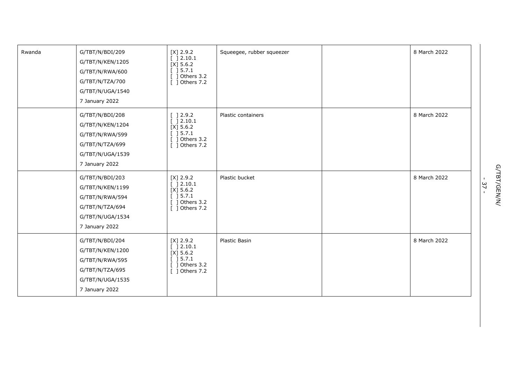| Rwanda | G/TBT/N/BDI/209<br>G/TBT/N/KEN/1205<br>G/TBT/N/RWA/600<br>G/TBT/N/TZA/700<br>G/TBT/N/UGA/1540<br>7 January 2022 | $[X]$ 2.9.2<br>[ ] 2.10.1<br>$[X]$ 5.6.2<br>[ ] 5.7.1<br>[ ] Others 3.2<br>[ ] Others 7.2                                  | Squeegee, rubber squeezer | 8 March 2022 |
|--------|-----------------------------------------------------------------------------------------------------------------|----------------------------------------------------------------------------------------------------------------------------|---------------------------|--------------|
|        | G/TBT/N/BDI/208<br>G/TBT/N/KEN/1204<br>G/TBT/N/RWA/599<br>G/TBT/N/TZA/699<br>G/TBT/N/UGA/1539<br>7 January 2022 | [ ] 2.9.2<br>[ ] 2.10.1<br>$[X]$ 5.6.2<br>$\left[\begin{array}{c}\right]$ 5.7.1<br>$[$ ] Others 3.2 $\,$<br>[ ] Others 7.2 | Plastic containers        | 8 March 2022 |
|        | G/TBT/N/BDI/203<br>G/TBT/N/KEN/1199<br>G/TBT/N/RWA/594<br>G/TBT/N/TZA/694<br>G/TBT/N/UGA/1534<br>7 January 2022 | $[X]$ 2.9.2<br>[ ] 2.10.1<br>$[X]$ 5.6.2<br>[ ] 5.7.1<br>$[$ ] Others 3.2<br>[ ] Others 7.2                                | Plastic bucket            | 8 March 2022 |
|        | G/TBT/N/BDI/204<br>G/TBT/N/KEN/1200<br>G/TBT/N/RWA/595<br>G/TBT/N/TZA/695<br>G/TBT/N/UGA/1535<br>7 January 2022 | $[X]$ 2.9.2<br>$[$ ] 2.10.1<br>$[X]$ 5.6.2<br>$[$ ] 5.7.1<br>$[$ ] Others 3.2<br>[ ] Others 7.2                            | Plastic Basin             | 8 March 2022 |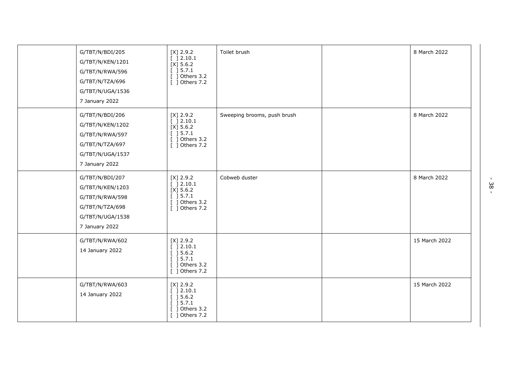| G/TBT/N/BDI/205<br>G/TBT/N/KEN/1201<br>G/TBT/N/RWA/596<br>G/TBT/N/TZA/696<br>G/TBT/N/UGA/1536<br>7 January 2022 | $[X]$ 2.9.2<br>[ ] 2.10.1<br>$[X]$ 5.6.2<br>[ ] 5.7.1<br>$[$ ] Others 3.2<br>[ ] Others 7.2                        | Toilet brush                | 8 March 2022  |
|-----------------------------------------------------------------------------------------------------------------|--------------------------------------------------------------------------------------------------------------------|-----------------------------|---------------|
| G/TBT/N/BDI/206<br>G/TBT/N/KEN/1202<br>G/TBT/N/RWA/597<br>G/TBT/N/TZA/697<br>G/TBT/N/UGA/1537<br>7 January 2022 | $[X]$ 2.9.2<br>[ ] 2.10.1<br>$[X]$ 5.6.2<br>[ ] 5.7.1<br>$\lceil$ 1 Others 3.2<br>[ ] Others 7.2                   | Sweeping brooms, push brush | 8 March 2022  |
| G/TBT/N/BDI/207<br>G/TBT/N/KEN/1203<br>G/TBT/N/RWA/598<br>G/TBT/N/TZA/698<br>G/TBT/N/UGA/1538<br>7 January 2022 | $[X]$ 2.9.2<br>[ ] 2.10.1<br>$[X]$ 5.6.2<br>[ ] 5.7.1<br>$\overline{$ ] Others 3.2<br>[ ] Others 7.2               | Cobweb duster               | 8 March 2022  |
| G/TBT/N/RWA/602<br>14 January 2022                                                                              | $[X]$ 2.9.2<br>[ ] 2.10.1<br>[ ] 5.6.2]<br>[ ] 5.7.1<br>$\overline{$ [ $\overline{)}$ Others 3.2<br>[ ] Others 7.2 |                             | 15 March 2022 |
| G/TBT/N/RWA/603<br>14 January 2022                                                                              | $[X]$ 2.9.2<br>[ ] 2.10.1<br>[ ] 5.6.2]<br>[ ] 5.7.1<br>$[$ ] Others 3.2<br>[ ] Others 7.2                         |                             | 15 March 2022 |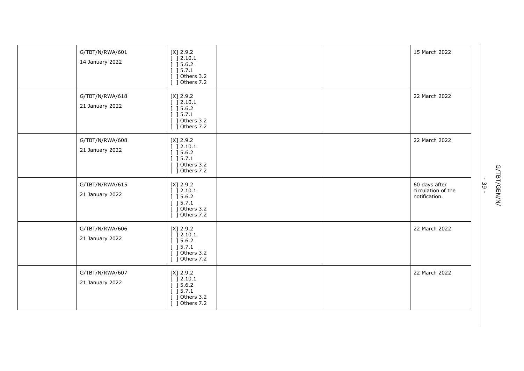| G/TBT/N/RWA/601<br>14 January 2022 | $[X]$ 2.9.2<br>[ ] 2.10.1<br>[ ] 5.6.2]<br>] 5.7.1<br>Others 3.2<br>$[$ ] Others 7.2                    |  | 15 March 2022                                        |
|------------------------------------|---------------------------------------------------------------------------------------------------------|--|------------------------------------------------------|
| G/TBT/N/RWA/618<br>21 January 2022 | $[X]$ 2.9.2<br>[ ] 2.10.1<br>[ ] 5.6.2]<br>[ ] 5.7.1<br>$[$ ] Others 3.2<br>Others 7.2                  |  | 22 March 2022                                        |
| G/TBT/N/RWA/608<br>21 January 2022 | $[X]$ 2.9.2<br>[ ] 2.10.1<br>[ ] 5.6.2]<br>[ ] 5.7.1<br>$[$ ] Others 3.2<br>$\overline{$ [ ] Others 7.2 |  | 22 March 2022                                        |
| G/TBT/N/RWA/615<br>21 January 2022 | $[X]$ 2.9.2<br>[ ] 2.10.1<br>[ ] 5.6.2]<br>$\overline{$ [ ] 5.7.1<br>$[$ ] Others 3.2<br>[ ] Others 7.2 |  | 60 days after<br>circulation of the<br>notification. |
| G/TBT/N/RWA/606<br>21 January 2022 | $[X]$ 2.9.2<br>[ ] 2.10.1<br>[ ] 5.6.2]<br>[ ] 5.7.1<br>Others 3.2<br>-1<br>$[$ ] Others 7.2            |  | 22 March 2022                                        |
| G/TBT/N/RWA/607<br>21 January 2022 | $[X]$ 2.9.2<br>[ ] 2.10.1<br>[ ] 5.6.2]<br>[ ] 5.7.1<br>$\lceil$ 1 Others 3.2<br>$[$ ] Others 7.2       |  | 22 March 2022                                        |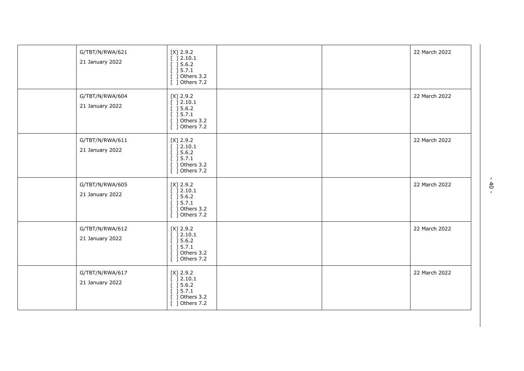| G/TBT/N/RWA/621<br>21 January 2022 | $[X]$ 2.9.2<br>[ ] 2.10.1<br>[ ] 5.6.2]<br>[ ] 5.7.1<br>Others 3.2<br>[ ] Others 7.2       |  | 22 March 2022 |
|------------------------------------|--------------------------------------------------------------------------------------------|--|---------------|
| G/TBT/N/RWA/604<br>21 January 2022 | $[X]$ 2.9.2<br>[ ] 2.10.1<br>[ ] 5.6.2]<br>[ ] 5.7.1<br>$[$ ] Others 3.2<br>[ ] Others 7.2 |  | 22 March 2022 |
| G/TBT/N/RWA/611<br>21 January 2022 | $[X]$ 2.9.2<br>[ ] 2.10.1<br>[ ] 5.6.2]<br>[ ] 5.7.1<br>] Others 3.2<br>[ ] Others 7.2     |  | 22 March 2022 |
| G/TBT/N/RWA/605<br>21 January 2022 | $[X]$ 2.9.2<br>[ ] 2.10.1<br>] 5.6.2<br>[ ] 5.7.1<br>] Others 3.2<br>[ ] Others 7.2        |  | 22 March 2022 |
| G/TBT/N/RWA/612<br>21 January 2022 | $[X]$ 2.9.2<br>[ ] 2.10.1<br>[ ] 5.6.2]<br>] 5.7.1<br>Others 3.2<br>-1<br>[ ] Others 7.2   |  | 22 March 2022 |
| G/TBT/N/RWA/617<br>21 January 2022 | $[X]$ 2.9.2<br>] 2.10.1<br>] 5.6.2<br>[ ] 5.7.1<br>Others 3.2<br>-1<br>[ ] Others 7.2      |  | 22 March 2022 |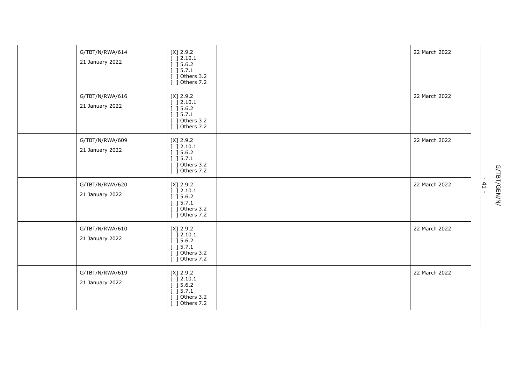| G/TBT/N/RWA/614<br>21 January 2022 | $[X]$ 2.9.2<br>[ ] 2.10.1<br>[ ] 5.6.2]<br>] 5.7.1<br>Others 3.2<br>$[$ ] Others 7.2                    |  | 22 March 2022 |
|------------------------------------|---------------------------------------------------------------------------------------------------------|--|---------------|
| G/TBT/N/RWA/616<br>21 January 2022 | $[X]$ 2.9.2<br>[ ] 2.10.1<br>$[$ ] 5.6.2<br>[ ] 5.7.1<br>$[$ ] Others 3.2<br>Others 7.2                 |  | 22 March 2022 |
| G/TBT/N/RWA/609<br>21 January 2022 | $[X]$ 2.9.2<br>[ ] 2.10.1<br>[ ] 5.6.2]<br>[ ] 5.7.1<br>$[$ ] Others 3.2<br>$\overline{$ [ ] Others 7.2 |  | 22 March 2022 |
| G/TBT/N/RWA/620<br>21 January 2022 | $[X]$ 2.9.2<br>[ ] 2.10.1<br>[ ] 5.6.2]<br>$\overline{$ [ ] 5.7.1<br>$[$ ] Others 3.2<br>[ ] Others 7.2 |  | 22 March 2022 |
| G/TBT/N/RWA/610<br>21 January 2022 | $[X]$ 2.9.2<br>[ ] 2.10.1<br>[ ] 5.6.2]<br>[ ] 5.7.1<br>$[$ ] Others 3.2<br>$[$ ] Others 7.2            |  | 22 March 2022 |
| G/TBT/N/RWA/619<br>21 January 2022 | $[X]$ 2.9.2<br>$[$ 1 2.10.1<br>[ ] 5.6.2]<br>[ ] 5.7.1<br>$[$ ] Others 3.2<br>$[$ ] Others 7.2          |  | 22 March 2022 |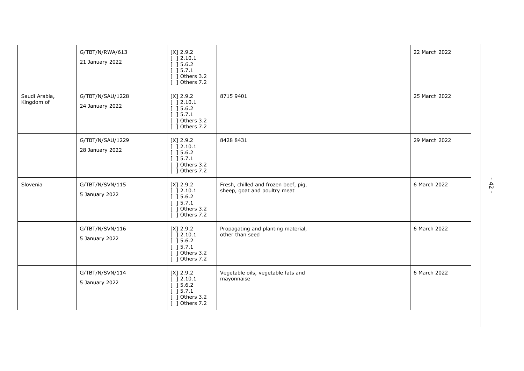|                             | G/TBT/N/RWA/613<br>21 January 2022  | $[X]$ 2.9.2<br>[ ] 2.10.1<br>$[$ ] 5.6.2<br>$[$ ] 5.7.1<br>$[$ ] Others 3.2<br>[ ] Others 7.2         |                                                                      | 22 March 2022 |
|-----------------------------|-------------------------------------|-------------------------------------------------------------------------------------------------------|----------------------------------------------------------------------|---------------|
| Saudi Arabia,<br>Kingdom of | G/TBT/N/SAU/1228<br>24 January 2022 | $[X]$ 2.9.2<br>[ ] 2.10.1<br>[ ] 5.6.2]<br>[ ] 5.7.1<br>[ ] Others 3.2<br>[ ] Others 7.2              | 8715 9401                                                            | 25 March 2022 |
|                             | G/TBT/N/SAU/1229<br>28 January 2022 | $[X]$ 2.9.2<br>$[$ ] 2.10.1<br>$[$ ] 5.6.2<br>[ ] 5.7.1<br>$[$ ] Others 3.2<br>[ ] Others 7.2         | 8428 8431                                                            | 29 March 2022 |
| Slovenia                    | G/TBT/N/SVN/115<br>5 January 2022   | $[X]$ 2.9.2<br>[ ] 2.10.1<br>[ ] 5.6.2]<br>$\overline{$ [ ] 5.7.1<br>[ ] Others 3.2<br>[ ] Others 7.2 | Fresh, chilled and frozen beef, pig,<br>sheep, goat and poultry meat | 6 March 2022  |
|                             | G/TBT/N/SVN/116<br>5 January 2022   | $[X]$ 2.9.2<br>[ ] 2.10.1<br>$[$ ] 5.6.2<br>[ ] 5.7.1<br>[ ] Others 3.2<br>[ ] Others 7.2             | Propagating and planting material,<br>other than seed                | 6 March 2022  |
|                             | G/TBT/N/SVN/114<br>5 January 2022   | $[X]$ 2.9.2<br>[ ] 2.10.1<br>$[$ ] 5.6.2<br>$[$ ] 5.7.1<br>$[$ ] Others 3.2<br>[ ] Others 7.2         | Vegetable oils, vegetable fats and<br>mayonnaise                     | 6 March 2022  |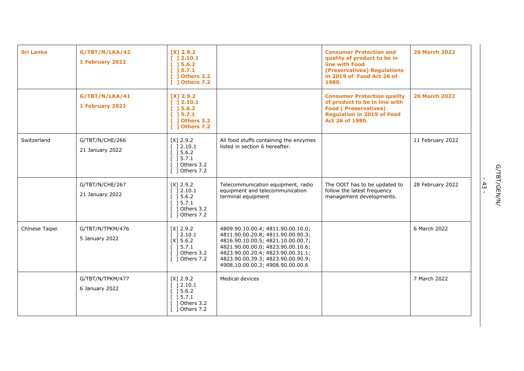| <b>Sri Lanka</b> | G/TBT/N/LKA/42<br>1 February 2022  | $[X]$ 2.9.2<br>[ ] 2.10.1<br>[ ] 5.6.2]<br>[ ] 5.7.1<br>[ ] Others 3.2<br>[ ] Others 7.2                        |                                                                                                                                                                                                                                                                | <b>Consumer Protection and</b><br>quality of product to be in<br>line with Food<br>(Preservatives) Regulations<br>in 2019 of Food Act 26 of<br>1980.       | <b>26 March 2022</b> |
|------------------|------------------------------------|-----------------------------------------------------------------------------------------------------------------|----------------------------------------------------------------------------------------------------------------------------------------------------------------------------------------------------------------------------------------------------------------|------------------------------------------------------------------------------------------------------------------------------------------------------------|----------------------|
|                  | G/TBT/N/LKA/41<br>1 February 2022  | $[X]$ 2.9.2<br>[ ] 2.10.1<br>[ ] 5.6.2]<br>[ ] 5.7.1<br>[ ] Others 3.2<br>[ ] Others 7.2                        |                                                                                                                                                                                                                                                                | <b>Consumer Protection quality</b><br>of product to be in line with<br><b>Food (Preservatives)</b><br><b>Regulation in 2019 of Food</b><br>Act 26 of 1980. | <b>26 March 2022</b> |
| Switzerland      | G/TBT/N/CHE/266<br>21 January 2022 | $[X]$ 2.9.2<br>[ ] 2.10.1<br>[ ] 5.6.2]<br>[ ] 5.7.1<br>] Others 3.2<br>$\lceil$ 1 Others 7.2                   | All food stuffs containing the enzymes<br>listed in section 6 hereafter.                                                                                                                                                                                       |                                                                                                                                                            | 11 February 2022     |
|                  | G/TBT/N/CHE/267<br>21 January 2022 | $[X]$ 2.9.2<br>[ ]2.10.1<br>$\left[\begin{array}{c}$ 15.6.2<br>[ ] 5.7.1<br>Others 3.2<br>$\lceil$ ] Others 7.2 | Telecommunication equipment, radio<br>equipment and telecommunication<br>terminal equipment                                                                                                                                                                    | The OOIT has to be updated to<br>follow the latest frequency<br>management developments.                                                                   | 28 February 2022     |
| Chinese Taipei   | G/TBT/N/TPKM/476<br>5 January 2022 | $[X]$ 2.9.2<br>[ ] 2.10.1<br>$[X]$ 5.6.2<br>$[$ 15.7.1<br>1 Others 3.2<br>[ ] Others 7.2                        | 4809.90.10.00.4; 4811.90.00.10.0;<br>4811.90.00.20.8; 4811.90.00.90.3;<br>4816.90.10.00.5; 4821.10.00.00.7;<br>4821.90.00.00.0; 4823.90.00.10.6;<br>4823.90.00.20.4; 4823.90.00.31.1;<br>4823.90.00.39.3; 4823.90.00.90.9;<br>4908.10.00.00.3; 4908.90.00.00.6 |                                                                                                                                                            | 6 March 2022         |
|                  | G/TBT/N/TPKM/477<br>6 January 2022 | $[X]$ 2.9.2<br>] 2.10.1<br>[ ] 5.6.2]<br>15.7.1<br>Others 3.2<br>$\lceil$ 1 Others 7.2                          | Medical devices                                                                                                                                                                                                                                                |                                                                                                                                                            | 7 March 2022         |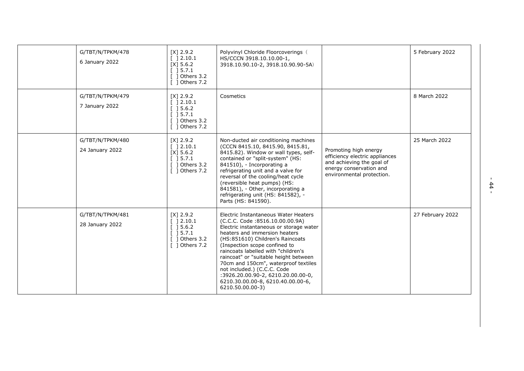| G/TBT/N/TPKM/478<br>6 January 2022  | $[X]$ 2.9.2<br>$[$ 1 2.10.1<br>$[X]$ 5.6.2<br>$[$ ] 5.7.1<br>$[$ ] Others 3.2<br>[ ] Others 7.2    | Polyvinyl Chloride Floorcoverings (<br>HS/CCCN 3918.10.10.00-1,<br>3918.10.90.10-2, 3918.10.90.90-5A)                                                                                                                                                                                                                                                                                                                                                                          |                                                                                                                                              | 5 February 2022  |
|-------------------------------------|----------------------------------------------------------------------------------------------------|--------------------------------------------------------------------------------------------------------------------------------------------------------------------------------------------------------------------------------------------------------------------------------------------------------------------------------------------------------------------------------------------------------------------------------------------------------------------------------|----------------------------------------------------------------------------------------------------------------------------------------------|------------------|
| G/TBT/N/TPKM/479<br>7 January 2022  | $[X]$ 2.9.2<br>$[$ ] 2.10.1<br>$[$ ] 5.6.2<br>$[$ ] 5.7.1<br>] Others 3.2<br>$\lceil$ 1 Others 7.2 | Cosmetics                                                                                                                                                                                                                                                                                                                                                                                                                                                                      |                                                                                                                                              | 8 March 2022     |
| G/TBT/N/TPKM/480<br>24 January 2022 | $[X]$ 2.9.2<br>[ ] 2.10.1<br>$[X]$ 5.6.2<br>$[$ ] 5.7.1<br>$[$ ] Others 3.2<br>[ ] Others 7.2      | Non-ducted air conditioning machines<br>(CCCN 8415.10, 8415.90, 8415.81,<br>8415.82). Window or wall types, self-<br>contained or "split-system" (HS:<br>841510), - Incorporating a<br>refrigerating unit and a valve for<br>reversal of the cooling/heat cycle<br>(reversible heat pumps) (HS:<br>841581), - Other, incorporating a<br>refrigerating unit (HS: 841582), -<br>Parts (HS: 841590).                                                                              | Promoting high energy<br>efficiency electric appliances<br>and achieving the goal of<br>energy conservation and<br>environmental protection. | 25 March 2022    |
| G/TBT/N/TPKM/481<br>28 January 2022 | $[X]$ 2.9.2<br>$[$ 1 2.10.1<br>$[$ ] 5.6.2<br>$[$ ] 5.7.1<br>[ ] Others 3.2<br>[ ] Others 7.2      | Electric Instantaneous Water Heaters<br>(C.C.C. Code: 8516.10.00.00.9A)<br>Electric instantaneous or storage water<br>heaters and immersion heaters<br>(HS:851610) Children's Raincoats<br>(Inspection scope confined to<br>raincoats labelled with "children's<br>raincoat" or "suitable height between<br>70cm and 150cm", waterproof textiles<br>not included.) (C.C.C. Code<br>:3926.20.00.90-2, 6210.20.00.00-0,<br>6210.30.00.00-8, 6210.40.00.00-6,<br>6210.50.00.00-3) |                                                                                                                                              | 27 February 2022 |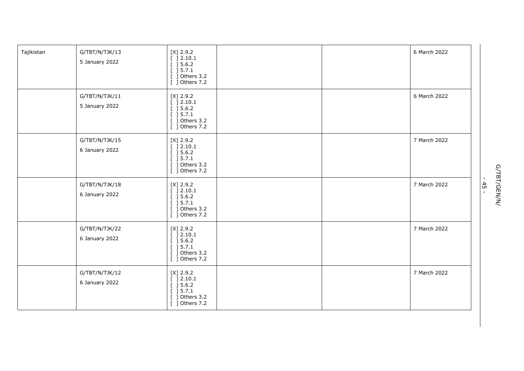| Tajikistan | G/TBT/N/TJK/13<br>5 January 2022 | $[X]$ 2.9.2<br>[ ] 2.10.1<br>[ ] 5.6.2]<br>[ ] 5.7.1<br>$[$ ] Others 3.2<br>[ ] Others 7.2          |  | 6 March 2022 |
|------------|----------------------------------|-----------------------------------------------------------------------------------------------------|--|--------------|
|            | G/TBT/N/TJK/11<br>5 January 2022 | $[X]$ 2.9.2<br>[ ] 2.10.1<br>[ ] 5.6.2]<br>[ ] 5.7.1<br>[ ] Others 3.2<br>$\overline{$ ] Others 7.2 |  | 6 March 2022 |
|            | G/TBT/N/TJK/15<br>6 January 2022 | $[X]$ 2.9.2<br>[ ] 2.10.1<br>[ ] 5.6.2]<br>[ ] 5.7.1<br>$[$ ] Others 3.2 $\,$<br>[ ] Others 7.2     |  | 7 March 2022 |
|            | G/TBT/N/TJK/18<br>6 January 2022 | $[X]$ 2.9.2<br>[ ] 2.10.1<br>$[$ ] 5.6.2<br>[ ] 5.7.1<br>[ ] Others 3.2<br>[ ] Others 7.2           |  | 7 March 2022 |
|            | G/TBT/N/TJK/22<br>6 January 2022 | $[X]$ 2.9.2<br>[ ] 2.10.1<br>[ ] 5.6.2]<br>[ ] 5.7.1<br>$[$ ] Others 3.2<br>[ ] Others 7.2          |  | 7 March 2022 |
|            | G/TBT/N/TJK/12<br>6 January 2022 | $[X]$ 2.9.2<br>[ ] 2.10.1<br>[ ] 5.6.2]<br>[ ] 5.7.1<br>$[$ ] Others 3.2<br>[ ] Others 7.2          |  | 7 March 2022 |

G/TBT/GEN/N/<br>- 45 -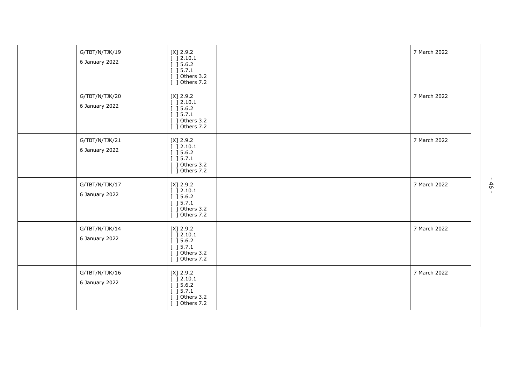| G/TBT/N/TJK/19<br>6 January 2022 | $[X]$ 2.9.2<br>[ ] 2.10.1<br>[ ] 5.6.2]<br>[ ] 5.7.1<br>[ ] Others 3.2<br>$\overline{$ [ $\overline{)}$ Others 7.2 |  | 7 March 2022 |
|----------------------------------|--------------------------------------------------------------------------------------------------------------------|--|--------------|
| G/TBT/N/TJK/20<br>6 January 2022 | $[X]$ 2.9.2<br>[ ] 2.10.1<br>[ ] 5.6.2]<br>$\overline{$ [ ] 5.7.1<br>$[$ ] Others 3.2<br>$[$ ] Others 7.2          |  | 7 March 2022 |
| G/TBT/N/TJK/21<br>6 January 2022 | $[X]$ 2.9.2<br>[ ] 2.10.1<br>[ ] 5.6.2]<br>[ ] 5.7.1<br>] Others 3.2<br>$[$ ] Others 7.2                           |  | 7 March 2022 |
| G/TBT/N/TJK/17<br>6 January 2022 | $[X]$ 2.9.2<br>[ ] 2.10.1<br>[ ] 5.6.2]<br>[ ] 5.7.1<br>$[$ ] Others 3.2<br>$[$ ] Others 7.2                       |  | 7 March 2022 |
| G/TBT/N/TJK/14<br>6 January 2022 | $[X]$ 2.9.2<br>[ ] 2.10.1<br>[ ] 5.6.2]<br>$[$ ] 5.7.1<br>] Others 3.2<br>$\overline{[}$ ] Others 7.2              |  | 7 March 2022 |
| G/TBT/N/TJK/16<br>6 January 2022 | $[X]$ 2.9.2<br>[ ] 2.10.1<br>[ ] 5.6.2]<br>[ ] 5.7.1<br>Others 3.2<br>ı<br>[ ] Others 7.2                          |  | 7 March 2022 |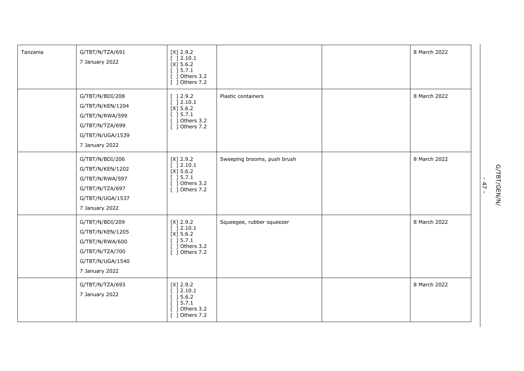| Tanzania | G/TBT/N/TZA/691<br>7 January 2022                                                                               | $[X]$ 2.9.2<br>[ ] 2.10.1<br>$[X]$ 5.6.2<br>$\left[\begin{array}{c}15.7.1\end{array}\right]$<br>$[$ ] Others 3.2<br>$\lceil$ 1 Others 7.2 |                             | 8 March 2022 |
|----------|-----------------------------------------------------------------------------------------------------------------|-------------------------------------------------------------------------------------------------------------------------------------------|-----------------------------|--------------|
|          | G/TBT/N/BDI/208<br>G/TBT/N/KEN/1204<br>G/TBT/N/RWA/599<br>G/TBT/N/TZA/699<br>G/TBT/N/UGA/1539<br>7 January 2022 | $\left[\begin{array}{c}\n1.2.9.2\n\end{array}\right]$<br>[ ] 2.10.1<br>$[X]$ 5.6.2<br>$[ ] 5.7.1$<br>$[$ ] Others 3.2<br>[ ] Others 7.2   | Plastic containers          | 8 March 2022 |
|          | G/TBT/N/BDI/206<br>G/TBT/N/KEN/1202<br>G/TBT/N/RWA/597<br>G/TBT/N/TZA/697<br>G/TBT/N/UGA/1537<br>7 January 2022 | $[X]$ 2.9.2<br>[ ] 2.10.1<br>$[X]$ 5.6.2<br>$[ ] 5.7.1$<br>$[$ ] Others 3.2<br>[ ] Others 7.2                                             | Sweeping brooms, push brush | 8 March 2022 |
|          | G/TBT/N/BDI/209<br>G/TBT/N/KEN/1205<br>G/TBT/N/RWA/600<br>G/TBT/N/TZA/700<br>G/TBT/N/UGA/1540<br>7 January 2022 | $[X]$ 2.9.2<br>[ ] 2.10.1<br>$[X]$ 5.6.2<br>[ ] 5.7.1<br>$[$ ] Others 3.2<br>[ ] Others 7.2                                               | Squeegee, rubber squeezer   | 8 March 2022 |
|          | G/TBT/N/TZA/693<br>7 January 2022                                                                               | $[X]$ 2.9.2<br>[ ] 2.10.1<br>[ ] 5.6.2]<br>[ ] 5.7.1<br>$[$ ] Others 3.2<br>[ ] Others 7.2                                                |                             | 8 March 2022 |

G/TBT/GEN/N/<br>- 47 -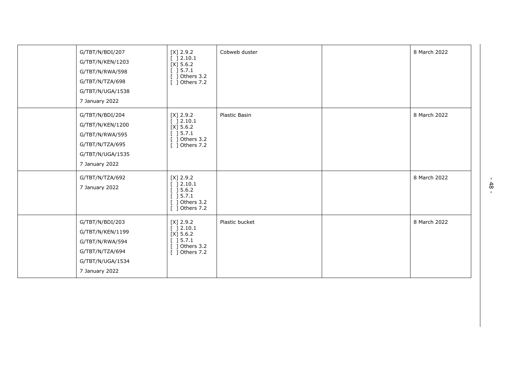| G/TBT/N/BDI/207<br>G/TBT/N/KEN/1203<br>G/TBT/N/RWA/598<br>G/TBT/N/TZA/698<br>G/TBT/N/UGA/1538<br>7 January 2022 | $[X]$ 2.9.2<br>[ ] 2.10.1<br>$[X]$ 5.6.2<br>$[$ ] 5.7.1<br>$[$ ] Others 3.2<br>[ ] Others 7.2           | Cobweb duster  | 8 March 2022 |
|-----------------------------------------------------------------------------------------------------------------|---------------------------------------------------------------------------------------------------------|----------------|--------------|
| G/TBT/N/BDI/204<br>G/TBT/N/KEN/1200<br>G/TBT/N/RWA/595<br>G/TBT/N/TZA/695<br>G/TBT/N/UGA/1535<br>7 January 2022 | $[X]$ 2.9.2<br>[ ] 2.10.1<br>$[X]$ 5.6.2<br>$[$ ] 5.7.1<br>$[$ ] Others 3.2<br>[ ] Others 7.2           | Plastic Basin  | 8 March 2022 |
| G/TBT/N/TZA/692<br>7 January 2022                                                                               | $[X]$ 2.9.2<br>[ ] 2.10.1<br>[ ] 5.6.2]<br>$\overline{[}$ ] 5.7.1<br>$[$ ] Others 3.2<br>[ ] Others 7.2 |                | 8 March 2022 |
| G/TBT/N/BDI/203<br>G/TBT/N/KEN/1199<br>G/TBT/N/RWA/594<br>G/TBT/N/TZA/694<br>G/TBT/N/UGA/1534<br>7 January 2022 | $[X]$ 2.9.2<br>[ ] 2.10.1<br>$[X]$ 5.6.2<br>[ ] 5.7.1<br>$[$ ] Others 3.2<br>[ ] Others 7.2             | Plastic bucket | 8 March 2022 |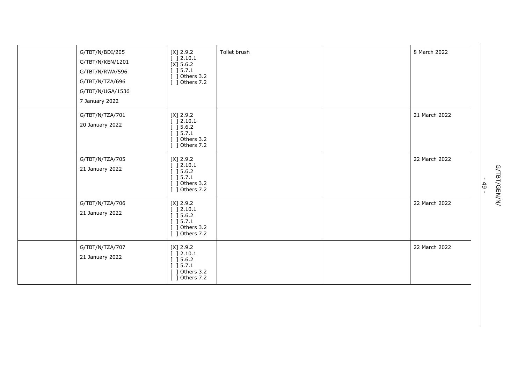| G/TBT/N/BDI/205<br>G/TBT/N/KEN/1201<br>G/TBT/N/RWA/596<br>G/TBT/N/TZA/696<br>G/TBT/N/UGA/1536<br>7 January 2022 | $[X]$ 2.9.2<br>[ ] 2.10.1<br>$[X]$ 5.6.2<br>[ ] 5.7.1<br>] Others 3.2<br>$[$ ] Others 7.2 | Toilet brush | 8 March 2022  |
|-----------------------------------------------------------------------------------------------------------------|-------------------------------------------------------------------------------------------|--------------|---------------|
| G/TBT/N/TZA/701<br>20 January 2022                                                                              | $[X]$ 2.9.2<br>] 2.10.1<br>] 5.6.2<br>] 5.7.1<br>] Others 3.2<br>$[$ ] Others 7.2         |              | 21 March 2022 |
| G/TBT/N/TZA/705<br>21 January 2022                                                                              | $[X]$ 2.9.2<br>[ ]2.10.1<br>[ ] 5.6.2]<br>[ ] 5.7.1<br>$[$ ] Others 3.2<br>[ ] Others 7.2 |              | 22 March 2022 |
| G/TBT/N/TZA/706<br>21 January 2022                                                                              | $[X]$ 2.9.2<br>[ ] 2.10.1<br>[ ] 5.6.2]<br>] 5.7.1<br>Others 3.2<br>] Others 7.2          |              | 22 March 2022 |
| G/TBT/N/TZA/707<br>21 January 2022                                                                              | $[X]$ 2.9.2<br>] 2.10.1<br>] 5.6.2<br>] 5.7.1<br>] Others 3.2<br>$[$ ] Others 7.2         |              | 22 March 2022 |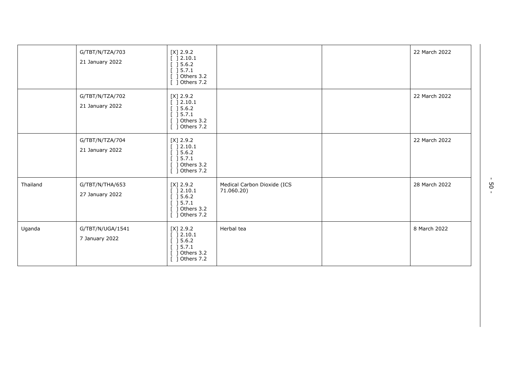|          | G/TBT/N/TZA/703<br>21 January 2022 | $[X]$ 2.9.2<br>[ ] 2.10.1<br>[ ] 5.6.2]<br>] 5.7.1<br>] Others 3.2<br>] Others 7.2                                          |                                           | 22 March 2022 |
|----------|------------------------------------|-----------------------------------------------------------------------------------------------------------------------------|-------------------------------------------|---------------|
|          | G/TBT/N/TZA/702<br>21 January 2022 | $[X]$ 2.9.2<br>[ ] 2.10.1<br>[ ] 5.6.2]<br>] 5.7.1<br>] Others 3.2<br>] Others 7.2                                          |                                           | 22 March 2022 |
|          | G/TBT/N/TZA/704<br>21 January 2022 | $[X]$ 2.9.2<br>[ ] 2.10.1<br>[ ] 5.6.2]<br>[ ] 5.7.1<br>] Others 3.2<br>] Others 7.2                                        |                                           | 22 March 2022 |
| Thailand | G/TBT/N/THA/653<br>27 January 2022 | $[X]$ 2.9.2<br>[ ] 2.10.1<br>$\left[\begin{array}{c} 3.6.2 \end{array}\right]$<br>[ ] 5.7.1<br>] Others 3.2<br>] Others 7.2 | Medical Carbon Dioxide (ICS<br>71.060.20) | 28 March 2022 |
| Uganda   | G/TBT/N/UGA/1541<br>7 January 2022 | $[X]$ 2.9.2<br>[ ] 2.10.1<br>[ ] 5.6.2]<br>[ ] 5.7.1<br>] Others 3.2<br>$[$ ] Others 7.2                                    | Herbal tea                                | 8 March 2022  |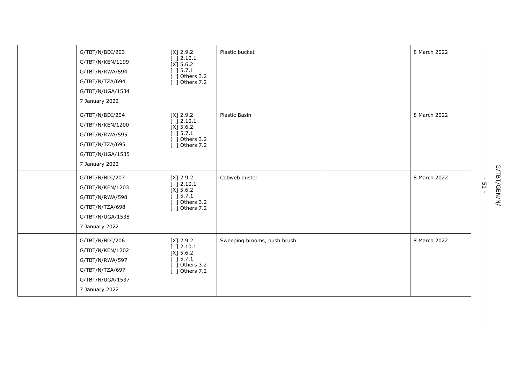| G/TBT/N/BDI/203<br>G/TBT/N/KEN/1199<br>G/TBT/N/RWA/594<br>G/TBT/N/TZA/694<br>G/TBT/N/UGA/1534<br>7 January 2022 | $[X]$ 2.9.2<br>[ ]2.10.1<br>$[X]$ 5.6.2<br>] 5.7.1<br>] Others 3.2<br>[ ] Others 7.2     | Plastic bucket              | 8 March 2022 |
|-----------------------------------------------------------------------------------------------------------------|------------------------------------------------------------------------------------------|-----------------------------|--------------|
| G/TBT/N/BDI/204<br>G/TBT/N/KEN/1200<br>G/TBT/N/RWA/595<br>G/TBT/N/TZA/695<br>G/TBT/N/UGA/1535<br>7 January 2022 | $[X]$ 2.9.2<br>[ ]2.10.1<br>$[X]$ 5.6.2<br>[ ] 5.7.1<br>] Others 3.2<br>$[$ ] Others 7.2 | Plastic Basin               | 8 March 2022 |
| G/TBT/N/BDI/207<br>G/TBT/N/KEN/1203<br>G/TBT/N/RWA/598<br>G/TBT/N/TZA/698<br>G/TBT/N/UGA/1538<br>7 January 2022 | $[X]$ 2.9.2<br>[ ] 2.10.1<br>$[X]$ 5.6.2<br>] 5.7.1<br>] Others 3.2<br>$[$ ] Others 7.2  | Cobweb duster               | 8 March 2022 |
| G/TBT/N/BDI/206<br>G/TBT/N/KEN/1202<br>G/TBT/N/RWA/597<br>G/TBT/N/TZA/697<br>G/TBT/N/UGA/1537<br>7 January 2022 | $[X]$ 2.9.2<br>] 2.10.1<br>$[X]$ 5.6.2<br>] 5.7.1<br>] Others 3.2<br>[ ] Others 7.2      | Sweeping brooms, push brush | 8 March 2022 |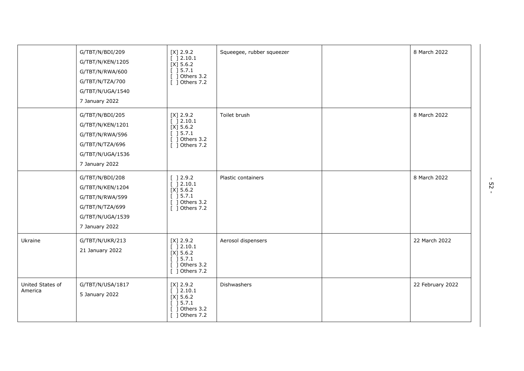|                             | G/TBT/N/BDI/209<br>G/TBT/N/KEN/1205<br>G/TBT/N/RWA/600<br>G/TBT/N/TZA/700<br>G/TBT/N/UGA/1540<br>7 January 2022 | $[X]$ 2.9.2<br>[ ] 2.10.1<br>$[X]$ 5.6.2<br>[ ] 5.7.1<br>$[$ ] Others 3.2<br>[ ] Others 7.2                                       | Squeegee, rubber squeezer | 8 March 2022     |
|-----------------------------|-----------------------------------------------------------------------------------------------------------------|-----------------------------------------------------------------------------------------------------------------------------------|---------------------------|------------------|
|                             | G/TBT/N/BDI/205<br>G/TBT/N/KEN/1201<br>G/TBT/N/RWA/596<br>G/TBT/N/TZA/696<br>G/TBT/N/UGA/1536<br>7 January 2022 | $[X]$ 2.9.2<br>[ ] 2.10.1<br>$[X]$ 5.6.2<br>[ ] 5.7.1<br>$[$ ] Others 3.2<br>[ ] Others 7.2                                       | Toilet brush              | 8 March 2022     |
|                             | G/TBT/N/BDI/208<br>G/TBT/N/KEN/1204<br>G/TBT/N/RWA/599<br>G/TBT/N/TZA/699<br>G/TBT/N/UGA/1539<br>7 January 2022 | $\left[\begin{array}{c} 2.9.2 \end{array}\right]$<br>[ ] 2.10.1<br>$[X]$ 5.6.2<br>[ ] 5.7.1<br>$[$ ] Others 3.2<br>[ ] Others 7.2 | Plastic containers        | 8 March 2022     |
| Ukraine                     | G/TBT/N/UKR/213<br>21 January 2022                                                                              | $[X]$ 2.9.2<br>$\overline{$ [ ] 2.10.1<br>$[X]$ 5.6.2<br>[ ] 5.7.1<br>$[$ ] Others 3.2<br>[ ] Others 7.2                          | Aerosol dispensers        | 22 March 2022    |
| United States of<br>America | G/TBT/N/USA/1817<br>5 January 2022                                                                              | $[X]$ 2.9.2<br>[ ] 2.10.1<br>$[X]$ 5.6.2<br>[ ] 5.7.1<br>$[$ ] Others 3.2<br>[ ] Others 7.2                                       | <b>Dishwashers</b>        | 22 February 2022 |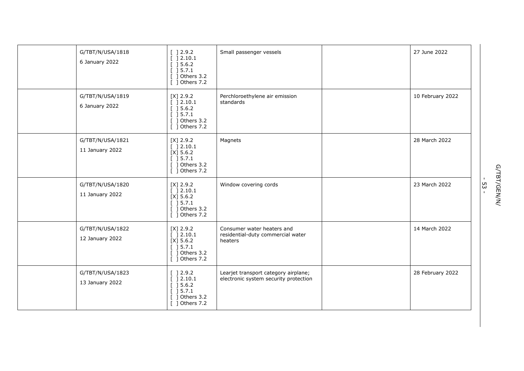| G/TBT/N/USA/1818<br>6 January 2022  | [ ] 2.9.2<br>[ ] 2.10.1<br>[ ] 5.6.2]<br>[ ] 5.7.1<br>$[$ ] Others 3.2<br>$[$ ] Others 7.2                               | Small passenger vessels                                                       | 27 June 2022     |
|-------------------------------------|--------------------------------------------------------------------------------------------------------------------------|-------------------------------------------------------------------------------|------------------|
| G/TBT/N/USA/1819<br>6 January 2022  | $[X]$ 2.9.2<br>[ ] 2.10.1<br>[ ] 5.6.2]<br>[ ] 5.7.1<br>$[$ ] Others 3.2<br>$\overline{$ [ ] Others 7.2                  | Perchloroethylene air emission<br>standards                                   | 10 February 2022 |
| G/TBT/N/USA/1821<br>11 January 2022 | $[X]$ 2.9.2<br>[ ] 2.10.1<br>$[X]$ 5.6.2<br>[ ] 5.7.1<br>$[$ ] Others 3.2<br>$\overline{$ ] Others 7.2                   | Magnets                                                                       | 28 March 2022    |
| G/TBT/N/USA/1820<br>11 January 2022 | $[X]$ 2.9.2<br>[ ] 2.10.1<br>[X] 5.6.2<br>$\overline{$ [ ] 5.7.1<br>$[$ ] Others 3.2<br>[ ] Others 7.2                   | Window covering cords                                                         | 23 March 2022    |
| G/TBT/N/USA/1822<br>12 January 2022 | $[X]$ 2.9.2<br>[ ] 2.10.1<br>$[X]$ 5.6.2<br>[ ] 5.7.1<br>$[$ ] Others 3.2<br>[ ] Others 7.2                              | Consumer water heaters and<br>residential-duty commercial water<br>heaters    | 14 March 2022    |
| G/TBT/N/USA/1823<br>13 January 2022 | $\lbrack 12.9.2\rbrack$<br>[ ] 2.10.1<br>[ ] 5.6.2]<br>$\overline{$ [ ] 5.7.1<br>$\lceil$ 1 Others 3.2<br>[ ] Others 7.2 | Learjet transport category airplane;<br>electronic system security protection | 28 February 2022 |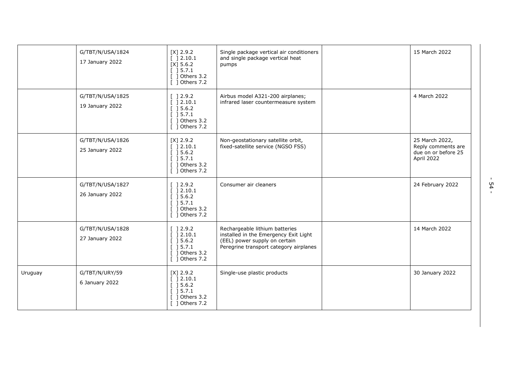|         | G/TBT/N/USA/1824<br>17 January 2022 | $[X]$ 2.9.2<br>[ ] 2.10.1<br>$[X]$ 5.6.2<br>$[$ 15.7.1<br>$[$ ] Others 3.2<br>$[$ ] Others 7.2                  | Single package vertical air conditioners<br>and single package vertical heat<br>pumps                                                              | 15 March 2022                                                             |
|---------|-------------------------------------|-----------------------------------------------------------------------------------------------------------------|----------------------------------------------------------------------------------------------------------------------------------------------------|---------------------------------------------------------------------------|
|         | G/TBT/N/USA/1825<br>19 January 2022 | [ ] 2.9.2<br>[ ] 2.10.1<br>[ ] 5.6.2]<br>[ ] 5.7.1<br>$[$ ] Others 3.2<br>[ ] Others 7.2                        | Airbus model A321-200 airplanes;<br>infrared laser countermeasure system                                                                           | 4 March 2022                                                              |
|         | G/TBT/N/USA/1826<br>25 January 2022 | $[X]$ 2.9.2<br>[ ] 2.10.1<br>[ ] 5.6.2]<br>$[$ ] 5.7.1<br>$[$ ] Others 3.2<br>[ ] Others 7.2                    | Non-geostationary satellite orbit,<br>fixed-satellite service (NGSO FSS)                                                                           | 25 March 2022,<br>Reply comments are<br>due on or before 25<br>April 2022 |
|         | G/TBT/N/USA/1827<br>26 January 2022 | [ ] 2.9.2<br>[ ] 2.10.1<br>[ ] 5.6.2]<br>[ ] 5.7.1<br>$[$ ] Others 3.2<br>[ ] Others 7.2                        | Consumer air cleaners                                                                                                                              | 24 February 2022                                                          |
|         | G/TBT/N/USA/1828<br>27 January 2022 | [ ] 2.9.2<br>[ ] 2.10.1<br>[ ] 5.6.2]<br>[ ] 5.7.1<br>$[$ ] Others 3.2<br>[ ] Others 7.2                        | Rechargeable lithium batteries<br>installed in the Emergency Exit Light<br>(EEL) power supply on certain<br>Peregrine transport category airplanes | 14 March 2022                                                             |
| Uruguay | G/TBT/N/URY/59<br>6 January 2022    | $[X]$ 2.9.2<br>[ ] 2.10.1<br>$\left[\begin{array}{c}$ 15.6.2<br>[ ] 5.7.1<br>$[$ ] Others 3.2<br>[ ] Others 7.2 | Single-use plastic products                                                                                                                        | 30 January 2022                                                           |